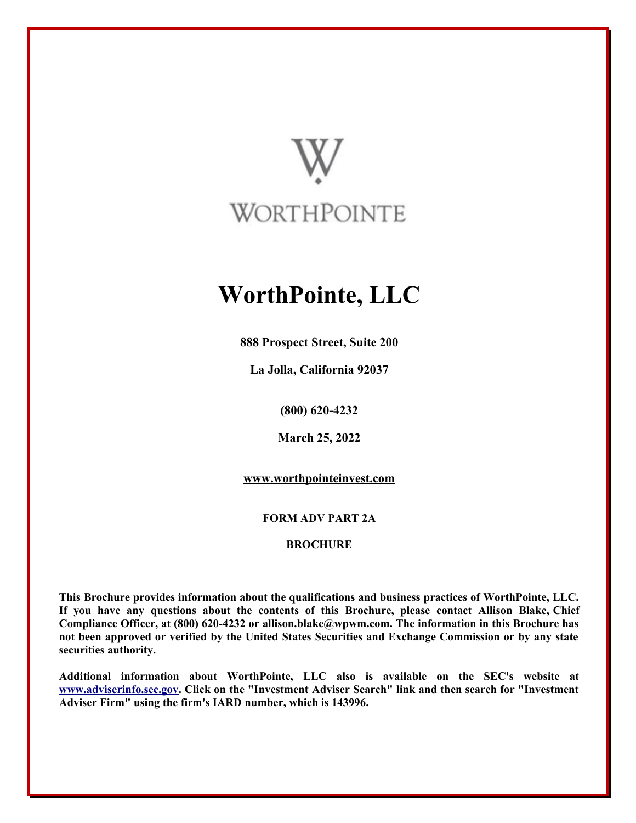

# **WorthPointe, LLC**

**888 Prospect Street, Suite 200**

**La Jolla, California 92037**

**(800) 620-4232**

**March 25, 2022**

**[www.worthpointeinvest.com](http://www.worthpointeinvest.com/)**

**FORM ADV PART 2A**

**BROCHURE**

**This Brochure provides information about the qualifications and business practices of WorthPointe, LLC. If you have any questions about the contents of this Brochure, please contact Allison Blake, Chief Compliance Officer, at (800) 620-4232 or allison.blake@wpwm.com. The information in this Brochure has not been approved or verified by the United States Securities and Exchange Commission or by any state securities authority.**

**Additional information about WorthPointe, LLC also is available on the SEC's website at [www.adviserinfo.sec.gov.](http://www.adviserinfo.sec.gov/) Click on the "Investment Adviser Search" link and then search for "Investment Adviser Firm" using the firm's IARD number, which is 143996.**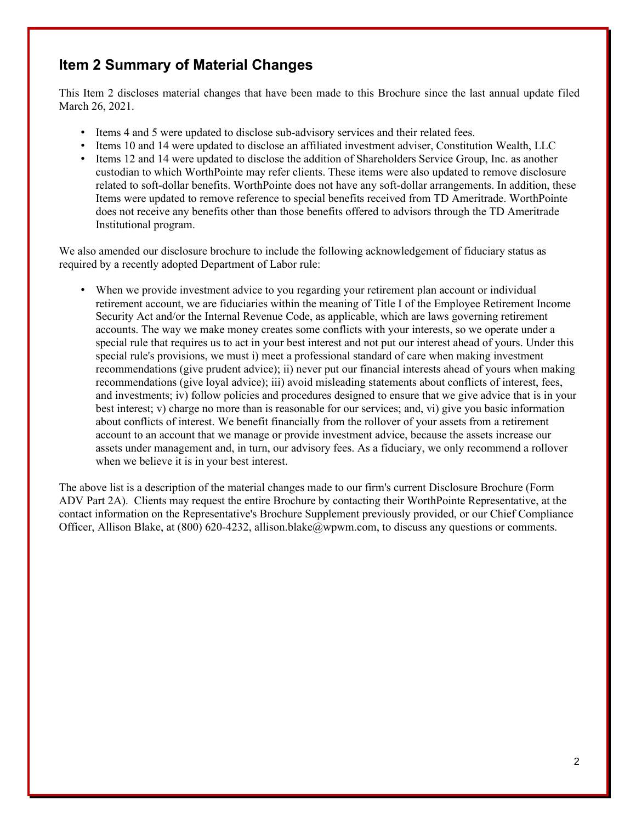# **Item 2 Summary of Material Changes**

This Item 2 discloses material changes that have been made to this Brochure since the last annual update filed March 26, 2021.

- Items 4 and 5 were updated to disclose sub-advisory services and their related fees.
- Items 10 and 14 were updated to disclose an affiliated investment adviser, Constitution Wealth, LLC
- Items 12 and 14 were updated to disclose the addition of Shareholders Service Group, Inc. as another custodian to which WorthPointe may refer clients. These items were also updated to remove disclosure related to soft-dollar benefits. WorthPointe does not have any soft-dollar arrangements. In addition, these Items were updated to remove reference to special benefits received from TD Ameritrade. WorthPointe does not receive any benefits other than those benefits offered to advisors through the TD Ameritrade Institutional program.

We also amended our disclosure brochure to include the following acknowledgement of fiduciary status as required by a recently adopted Department of Labor rule:

• When we provide investment advice to you regarding your retirement plan account or individual retirement account, we are fiduciaries within the meaning of Title I of the Employee Retirement Income Security Act and/or the Internal Revenue Code, as applicable, which are laws governing retirement accounts. The way we make money creates some conflicts with your interests, so we operate under a special rule that requires us to act in your best interest and not put our interest ahead of yours. Under this special rule's provisions, we must i) meet a professional standard of care when making investment recommendations (give prudent advice); ii) never put our financial interests ahead of yours when making recommendations (give loyal advice); iii) avoid misleading statements about conflicts of interest, fees, and investments; iv) follow policies and procedures designed to ensure that we give advice that is in your best interest; v) charge no more than is reasonable for our services; and, vi) give you basic information about conflicts of interest. We benefit financially from the rollover of your assets from a retirement account to an account that we manage or provide investment advice, because the assets increase our assets under management and, in turn, our advisory fees. As a fiduciary, we only recommend a rollover when we believe it is in your best interest.

The above list is a description of the material changes made to our firm's current Disclosure Brochure (Form ADV Part 2A). Clients may request the entire Brochure by contacting their WorthPointe Representative, at the contact information on the Representative's Brochure Supplement previously provided, or our Chief Compliance Officer, Allison Blake, at (800) 620-4232, allison.blake@wpwm.com, to discuss any questions or comments.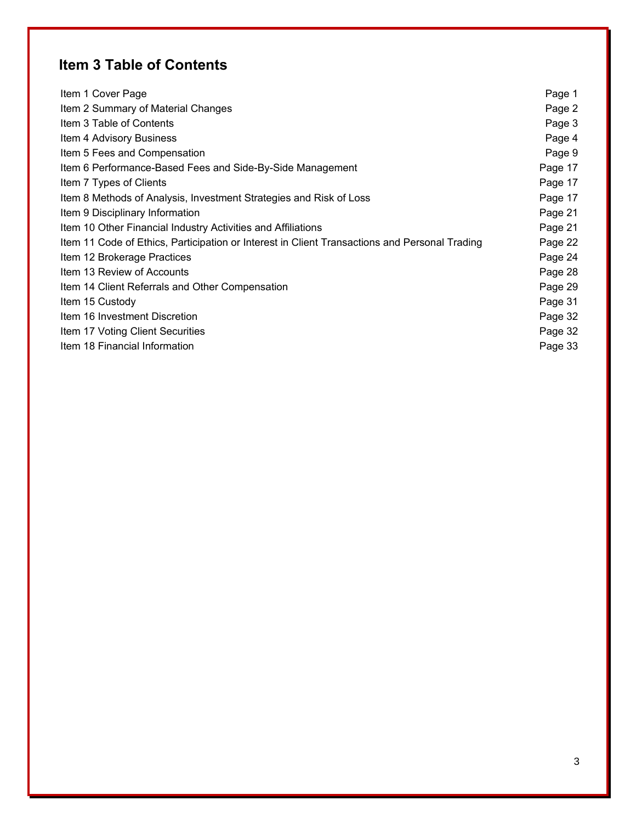# **Item 3 Table of Contents**

| Item 1 Cover Page                                                                             | Page 1  |
|-----------------------------------------------------------------------------------------------|---------|
| Item 2 Summary of Material Changes                                                            | Page 2  |
| Item 3 Table of Contents                                                                      | Page 3  |
| Item 4 Advisory Business                                                                      | Page 4  |
| Item 5 Fees and Compensation                                                                  | Page 9  |
| Item 6 Performance-Based Fees and Side-By-Side Management                                     | Page 17 |
| Item 7 Types of Clients                                                                       | Page 17 |
| Item 8 Methods of Analysis, Investment Strategies and Risk of Loss                            | Page 17 |
| Item 9 Disciplinary Information                                                               | Page 21 |
| Item 10 Other Financial Industry Activities and Affiliations                                  | Page 21 |
| Item 11 Code of Ethics, Participation or Interest in Client Transactions and Personal Trading | Page 22 |
| Item 12 Brokerage Practices                                                                   | Page 24 |
| Item 13 Review of Accounts                                                                    | Page 28 |
| Item 14 Client Referrals and Other Compensation                                               | Page 29 |
| Item 15 Custody                                                                               | Page 31 |
| Item 16 Investment Discretion                                                                 | Page 32 |
| Item 17 Voting Client Securities                                                              | Page 32 |
| Item 18 Financial Information                                                                 | Page 33 |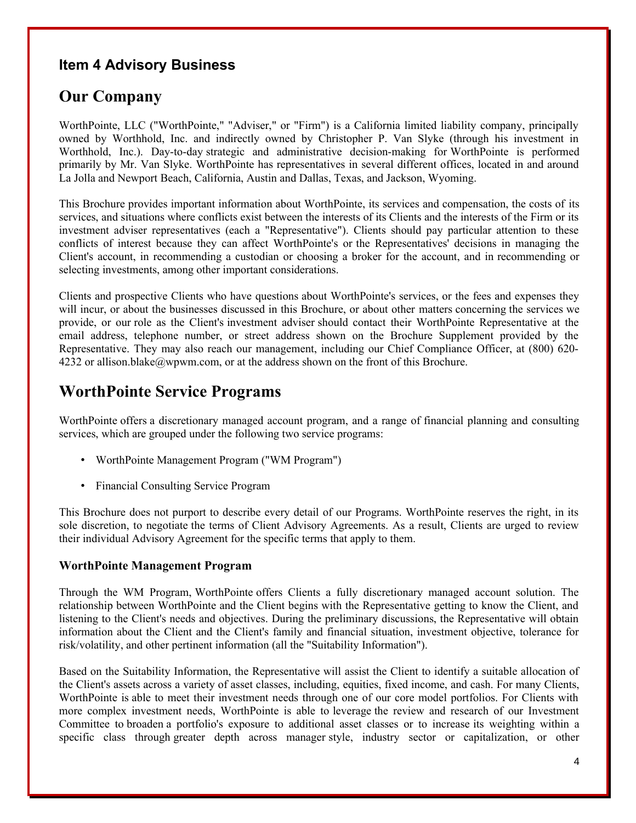### **Item 4 Advisory Business**

# **Our Company**

WorthPointe, LLC ("WorthPointe," "Adviser," or "Firm") is a California limited liability company, principally owned by Worthhold, Inc. and indirectly owned by Christopher P. Van Slyke (through his investment in Worthhold, Inc.). Day-to-day strategic and administrative decision-making for WorthPointe is performed primarily by Mr. Van Slyke. WorthPointe has representatives in several different offices, located in and around La Jolla and Newport Beach, California, Austin and Dallas, Texas, and Jackson, Wyoming.

This Brochure provides important information about WorthPointe, its services and compensation, the costs of its services, and situations where conflicts exist between the interests of its Clients and the interests of the Firm or its investment adviser representatives (each a "Representative"). Clients should pay particular attention to these conflicts of interest because they can affect WorthPointe's or the Representatives' decisions in managing the Client's account, in recommending a custodian or choosing a broker for the account, and in recommending or selecting investments, among other important considerations.

Clients and prospective Clients who have questions about WorthPointe's services, or the fees and expenses they will incur, or about the businesses discussed in this Brochure, or about other matters concerning the services we provide, or our role as the Client's investment adviser should contact their WorthPointe Representative at the email address, telephone number, or street address shown on the Brochure Supplement provided by the Representative. They may also reach our management, including our Chief Compliance Officer, at (800) 620- 4232 or allison.blake@wpwm.com, or at the address shown on the front of this Brochure.

# **WorthPointe Service Programs**

WorthPointe offers a discretionary managed account program, and a range of financial planning and consulting services, which are grouped under the following two service programs:

- WorthPointe Management Program ("WM Program")
- Financial Consulting Service Program

This Brochure does not purport to describe every detail of our Programs. WorthPointe reserves the right, in its sole discretion, to negotiate the terms of Client Advisory Agreements. As a result, Clients are urged to review their individual Advisory Agreement for the specific terms that apply to them.

### **WorthPointe Management Program**

Through the WM Program, WorthPointe offers Clients a fully discretionary managed account solution. The relationship between WorthPointe and the Client begins with the Representative getting to know the Client, and listening to the Client's needs and objectives. During the preliminary discussions, the Representative will obtain information about the Client and the Client's family and financial situation, investment objective, tolerance for risk/volatility, and other pertinent information (all the "Suitability Information").

Based on the Suitability Information, the Representative will assist the Client to identify a suitable allocation of the Client's assets across a variety of asset classes, including, equities, fixed income, and cash. For many Clients, WorthPointe is able to meet their investment needs through one of our core model portfolios. For Clients with more complex investment needs, WorthPointe is able to leverage the review and research of our Investment Committee to broaden a portfolio's exposure to additional asset classes or to increase its weighting within a specific class through greater depth across manager style, industry sector or capitalization, or other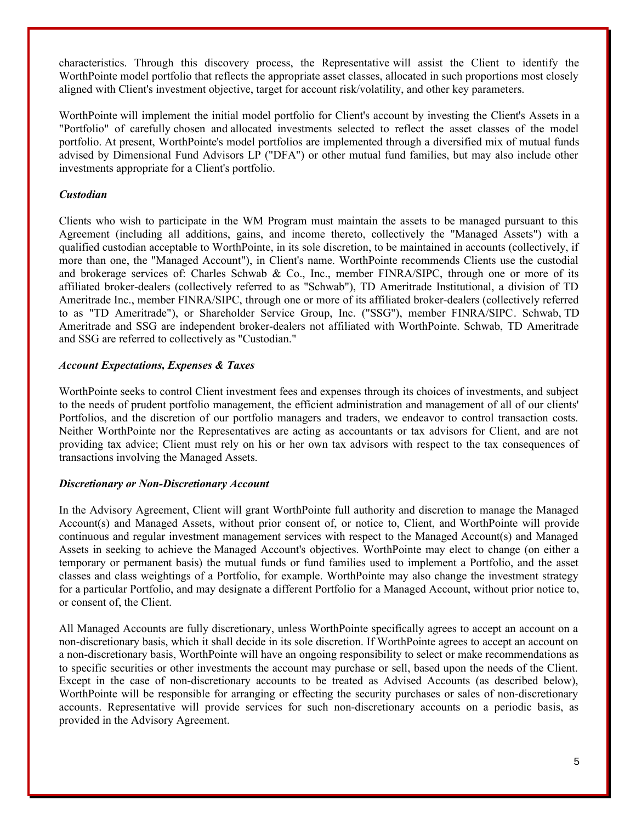characteristics. Through this discovery process, the Representative will assist the Client to identify the WorthPointe model portfolio that reflects the appropriate asset classes, allocated in such proportions most closely aligned with Client's investment objective, target for account risk/volatility, and other key parameters.

WorthPointe will implement the initial model portfolio for Client's account by investing the Client's Assets in a "Portfolio" of carefully chosen and allocated investments selected to reflect the asset classes of the model portfolio. At present, WorthPointe's model portfolios are implemented through a diversified mix of mutual funds advised by Dimensional Fund Advisors LP ("DFA") or other mutual fund families, but may also include other investments appropriate for a Client's portfolio.

### *Custodian*

Clients who wish to participate in the WM Program must maintain the assets to be managed pursuant to this Agreement (including all additions, gains, and income thereto, collectively the "Managed Assets") with a qualified custodian acceptable to WorthPointe, in its sole discretion, to be maintained in accounts (collectively, if more than one, the "Managed Account"), in Client's name. WorthPointe recommends Clients use the custodial and brokerage services of: Charles Schwab & Co., Inc., member FINRA/SIPC, through one or more of its affiliated broker-dealers (collectively referred to as "Schwab"), TD Ameritrade Institutional, a division of TD Ameritrade Inc., member FINRA/SIPC, through one or more of its affiliated broker-dealers (collectively referred to as "TD Ameritrade"), or Shareholder Service Group, Inc. ("SSG"), member FINRA/SIPC. Schwab, TD Ameritrade and SSG are independent broker-dealers not affiliated with WorthPointe. Schwab, TD Ameritrade and SSG are referred to collectively as "Custodian."

### *Account Expectations, Expenses & Taxes*

WorthPointe seeks to control Client investment fees and expenses through its choices of investments, and subject to the needs of prudent portfolio management, the efficient administration and management of all of our clients' Portfolios, and the discretion of our portfolio managers and traders, we endeavor to control transaction costs. Neither WorthPointe nor the Representatives are acting as accountants or tax advisors for Client, and are not providing tax advice; Client must rely on his or her own tax advisors with respect to the tax consequences of transactions involving the Managed Assets.

#### *Discretionary or Non-Discretionary Account*

In the Advisory Agreement, Client will grant WorthPointe full authority and discretion to manage the Managed Account(s) and Managed Assets, without prior consent of, or notice to, Client, and WorthPointe will provide continuous and regular investment management services with respect to the Managed Account(s) and Managed Assets in seeking to achieve the Managed Account's objectives. WorthPointe may elect to change (on either a temporary or permanent basis) the mutual funds or fund families used to implement a Portfolio, and the asset classes and class weightings of a Portfolio, for example. WorthPointe may also change the investment strategy for a particular Portfolio, and may designate a different Portfolio for a Managed Account, without prior notice to, or consent of, the Client.

All Managed Accounts are fully discretionary, unless WorthPointe specifically agrees to accept an account on a non-discretionary basis, which it shall decide in its sole discretion. If WorthPointe agrees to accept an account on a non-discretionary basis, WorthPointe will have an ongoing responsibility to select or make recommendations as to specific securities or other investments the account may purchase or sell, based upon the needs of the Client. Except in the case of non-discretionary accounts to be treated as Advised Accounts (as described below), WorthPointe will be responsible for arranging or effecting the security purchases or sales of non-discretionary accounts. Representative will provide services for such non-discretionary accounts on a periodic basis, as provided in the Advisory Agreement.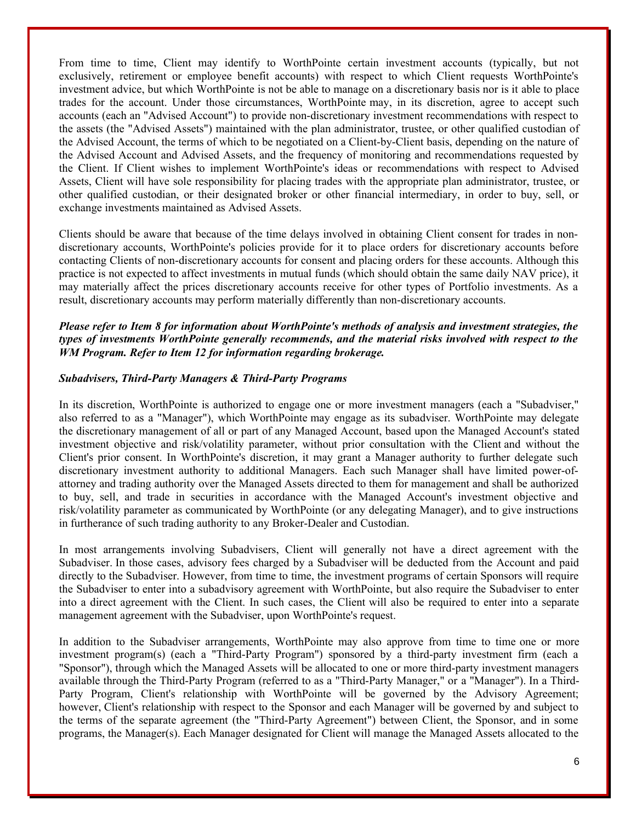From time to time, Client may identify to WorthPointe certain investment accounts (typically, but not exclusively, retirement or employee benefit accounts) with respect to which Client requests WorthPointe's investment advice, but which WorthPointe is not be able to manage on a discretionary basis nor is it able to place trades for the account. Under those circumstances, WorthPointe may, in its discretion, agree to accept such accounts (each an "Advised Account") to provide non-discretionary investment recommendations with respect to the assets (the "Advised Assets") maintained with the plan administrator, trustee, or other qualified custodian of the Advised Account, the terms of which to be negotiated on a Client-by-Client basis, depending on the nature of the Advised Account and Advised Assets, and the frequency of monitoring and recommendations requested by the Client. If Client wishes to implement WorthPointe's ideas or recommendations with respect to Advised Assets, Client will have sole responsibility for placing trades with the appropriate plan administrator, trustee, or other qualified custodian, or their designated broker or other financial intermediary, in order to buy, sell, or exchange investments maintained as Advised Assets.

Clients should be aware that because of the time delays involved in obtaining Client consent for trades in nondiscretionary accounts, WorthPointe's policies provide for it to place orders for discretionary accounts before contacting Clients of non-discretionary accounts for consent and placing orders for these accounts. Although this practice is not expected to affect investments in mutual funds (which should obtain the same daily NAV price), it may materially affect the prices discretionary accounts receive for other types of Portfolio investments. As a result, discretionary accounts may perform materially differently than non-discretionary accounts.

### *Please refer to Item 8 for information about WorthPointe's methods of analysis and investment strategies, the types of investments WorthPointe generally recommends, and the material risks involved with respect to the WM Program. Refer to Item 12 for information regarding brokerage.*

#### *Subadvisers, Third-Party Managers & Third-Party Programs*

In its discretion, WorthPointe is authorized to engage one or more investment managers (each a "Subadviser," also referred to as a "Manager"), which WorthPointe may engage as its subadviser. WorthPointe may delegate the discretionary management of all or part of any Managed Account, based upon the Managed Account's stated investment objective and risk/volatility parameter, without prior consultation with the Client and without the Client's prior consent. In WorthPointe's discretion, it may grant a Manager authority to further delegate such discretionary investment authority to additional Managers. Each such Manager shall have limited power-ofattorney and trading authority over the Managed Assets directed to them for management and shall be authorized to buy, sell, and trade in securities in accordance with the Managed Account's investment objective and risk/volatility parameter as communicated by WorthPointe (or any delegating Manager), and to give instructions in furtherance of such trading authority to any Broker-Dealer and Custodian.

In most arrangements involving Subadvisers, Client will generally not have a direct agreement with the Subadviser. In those cases, advisory fees charged by a Subadviser will be deducted from the Account and paid directly to the Subadviser. However, from time to time, the investment programs of certain Sponsors will require the Subadviser to enter into a subadvisory agreement with WorthPointe, but also require the Subadviser to enter into a direct agreement with the Client. In such cases, the Client will also be required to enter into a separate management agreement with the Subadviser, upon WorthPointe's request.

In addition to the Subadviser arrangements, WorthPointe may also approve from time to time one or more investment program(s) (each a "Third-Party Program") sponsored by a third-party investment firm (each a "Sponsor"), through which the Managed Assets will be allocated to one or more third-party investment managers available through the Third-Party Program (referred to as a "Third-Party Manager," or a "Manager"). In a Third-Party Program, Client's relationship with WorthPointe will be governed by the Advisory Agreement; however, Client's relationship with respect to the Sponsor and each Manager will be governed by and subject to the terms of the separate agreement (the "Third-Party Agreement") between Client, the Sponsor, and in some programs, the Manager(s). Each Manager designated for Client will manage the Managed Assets allocated to the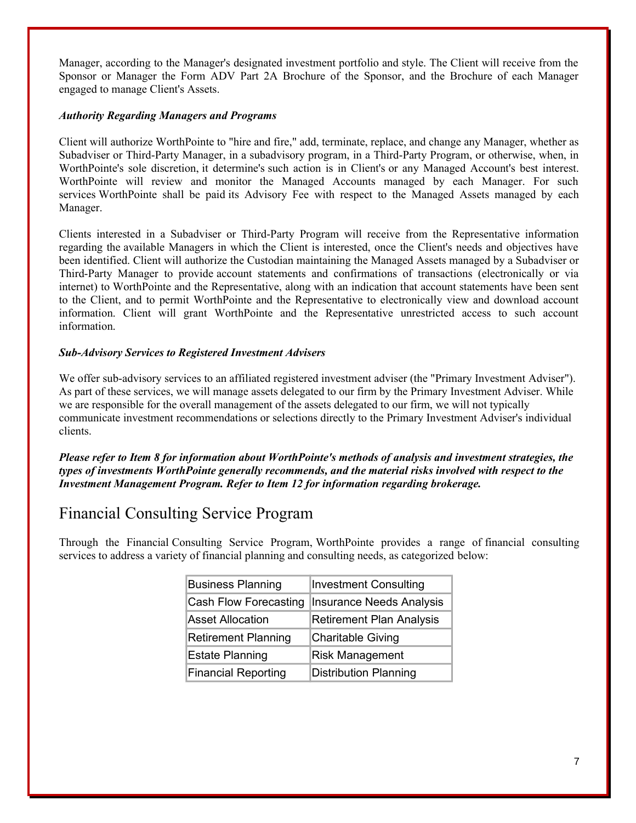Manager, according to the Manager's designated investment portfolio and style. The Client will receive from the Sponsor or Manager the Form ADV Part 2A Brochure of the Sponsor, and the Brochure of each Manager engaged to manage Client's Assets.

#### *Authority Regarding Managers and Programs*

Client will authorize WorthPointe to "hire and fire," add, terminate, replace, and change any Manager, whether as Subadviser or Third-Party Manager, in a subadvisory program, in a Third-Party Program, or otherwise, when, in WorthPointe's sole discretion, it determine's such action is in Client's or any Managed Account's best interest. WorthPointe will review and monitor the Managed Accounts managed by each Manager. For such services WorthPointe shall be paid its Advisory Fee with respect to the Managed Assets managed by each Manager.

Clients interested in a Subadviser or Third-Party Program will receive from the Representative information regarding the available Managers in which the Client is interested, once the Client's needs and objectives have been identified. Client will authorize the Custodian maintaining the Managed Assets managed by a Subadviser or Third-Party Manager to provide account statements and confirmations of transactions (electronically or via internet) to WorthPointe and the Representative, along with an indication that account statements have been sent to the Client, and to permit WorthPointe and the Representative to electronically view and download account information. Client will grant WorthPointe and the Representative unrestricted access to such account information.

### *Sub-Advisory Services to Registered Investment Advisers*

We offer sub-advisory services to an affiliated registered investment adviser (the "Primary Investment Adviser"). As part of these services, we will manage assets delegated to our firm by the Primary Investment Adviser. While we are responsible for the overall management of the assets delegated to our firm, we will not typically communicate investment recommendations or selections directly to the Primary Investment Adviser's individual clients.

*Please refer to Item 8 for information about WorthPointe's methods of analysis and investment strategies, the types of investments WorthPointe generally recommends, and the material risks involved with respect to the Investment Management Program. Refer to Item 12 for information regarding brokerage.*

# Financial Consulting Service Program

Through the Financial Consulting Service Program, WorthPointe provides a range of financial consulting services to address a variety of financial planning and consulting needs, as categorized below:

| <b>Business Planning</b>   | <b>Investment Consulting</b>    |
|----------------------------|---------------------------------|
| Cash Flow Forecasting      | <b>Insurance Needs Analysis</b> |
| <b>Asset Allocation</b>    | <b>Retirement Plan Analysis</b> |
| <b>Retirement Planning</b> | Charitable Giving               |
| <b>Estate Planning</b>     | <b>Risk Management</b>          |
| <b>Financial Reporting</b> | <b>Distribution Planning</b>    |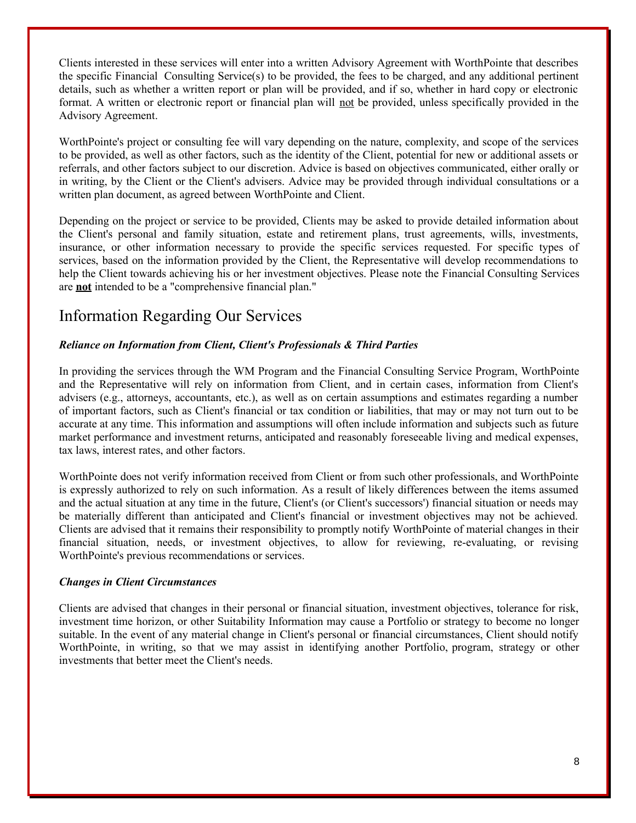Clients interested in these services will enter into a written Advisory Agreement with WorthPointe that describes the specific Financial Consulting Service(s) to be provided, the fees to be charged, and any additional pertinent details, such as whether a written report or plan will be provided, and if so, whether in hard copy or electronic format. A written or electronic report or financial plan will not be provided, unless specifically provided in the Advisory Agreement.

WorthPointe's project or consulting fee will vary depending on the nature, complexity, and scope of the services to be provided, as well as other factors, such as the identity of the Client, potential for new or additional assets or referrals, and other factors subject to our discretion. Advice is based on objectives communicated, either orally or in writing, by the Client or the Client's advisers. Advice may be provided through individual consultations or a written plan document, as agreed between WorthPointe and Client.

Depending on the project or service to be provided, Clients may be asked to provide detailed information about the Client's personal and family situation, estate and retirement plans, trust agreements, wills, investments, insurance, or other information necessary to provide the specific services requested. For specific types of services, based on the information provided by the Client, the Representative will develop recommendations to help the Client towards achieving his or her investment objectives. Please note the Financial Consulting Services are **not** intended to be a "comprehensive financial plan."

# Information Regarding Our Services

### *Reliance on Information from Client, Client's Professionals & Third Parties*

In providing the services through the WM Program and the Financial Consulting Service Program, WorthPointe and the Representative will rely on information from Client, and in certain cases, information from Client's advisers (e.g., attorneys, accountants, etc.), as well as on certain assumptions and estimates regarding a number of important factors, such as Client's financial or tax condition or liabilities, that may or may not turn out to be accurate at any time. This information and assumptions will often include information and subjects such as future market performance and investment returns, anticipated and reasonably foreseeable living and medical expenses, tax laws, interest rates, and other factors.

WorthPointe does not verify information received from Client or from such other professionals, and WorthPointe is expressly authorized to rely on such information. As a result of likely differences between the items assumed and the actual situation at any time in the future, Client's (or Client's successors') financial situation or needs may be materially different than anticipated and Client's financial or investment objectives may not be achieved. Clients are advised that it remains their responsibility to promptly notify WorthPointe of material changes in their financial situation, needs, or investment objectives, to allow for reviewing, re-evaluating, or revising WorthPointe's previous recommendations or services.

### *Changes in Client Circumstances*

Clients are advised that changes in their personal or financial situation, investment objectives, tolerance for risk, investment time horizon, or other Suitability Information may cause a Portfolio or strategy to become no longer suitable. In the event of any material change in Client's personal or financial circumstances, Client should notify WorthPointe, in writing, so that we may assist in identifying another Portfolio, program, strategy or other investments that better meet the Client's needs.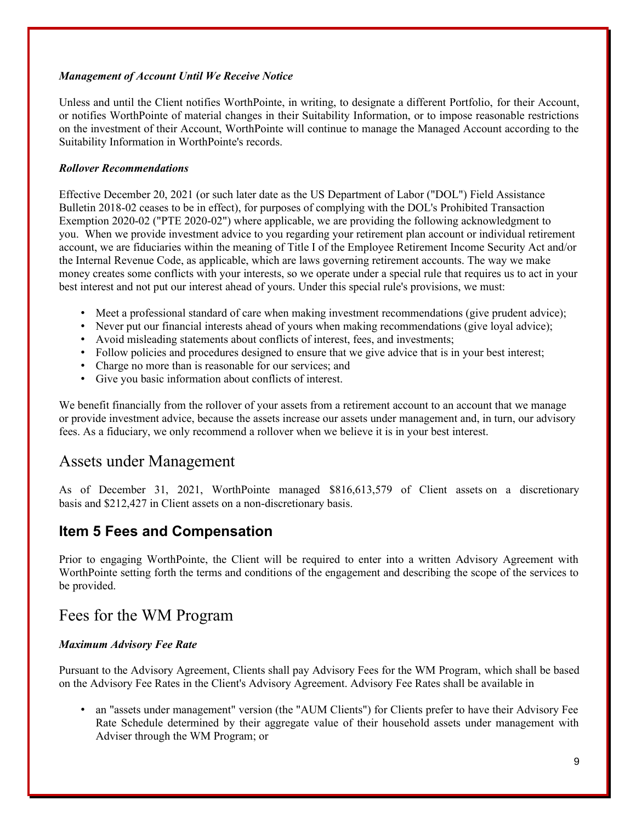### *Management of Account Until We Receive Notice*

Unless and until the Client notifies WorthPointe, in writing, to designate a different Portfolio, for their Account, or notifies WorthPointe of material changes in their Suitability Information, or to impose reasonable restrictions on the investment of their Account, WorthPointe will continue to manage the Managed Account according to the Suitability Information in WorthPointe's records.

### *Rollover Recommendations*

Effective December 20, 2021 (or such later date as the US Department of Labor ("DOL") Field Assistance Bulletin 2018-02 ceases to be in effect), for purposes of complying with the DOL's Prohibited Transaction Exemption 2020-02 ("PTE 2020-02") where applicable, we are providing the following acknowledgment to you. When we provide investment advice to you regarding your retirement plan account or individual retirement account, we are fiduciaries within the meaning of Title I of the Employee Retirement Income Security Act and/or the Internal Revenue Code, as applicable, which are laws governing retirement accounts. The way we make money creates some conflicts with your interests, so we operate under a special rule that requires us to act in your best interest and not put our interest ahead of yours. Under this special rule's provisions, we must:

- Meet a professional standard of care when making investment recommendations (give prudent advice);
- Never put our financial interests ahead of yours when making recommendations (give loyal advice);
- Avoid misleading statements about conflicts of interest, fees, and investments;
- Follow policies and procedures designed to ensure that we give advice that is in your best interest;
- Charge no more than is reasonable for our services; and
- Give you basic information about conflicts of interest.

We benefit financially from the rollover of your assets from a retirement account to an account that we manage or provide investment advice, because the assets increase our assets under management and, in turn, our advisory fees. As a fiduciary, we only recommend a rollover when we believe it is in your best interest.

### Assets under Management

As of December 31, 2021, WorthPointe managed \$816,613,579 of Client assets on a discretionary basis and \$212,427 in Client assets on a non-discretionary basis.

### **Item 5 Fees and Compensation**

Prior to engaging WorthPointe, the Client will be required to enter into a written Advisory Agreement with WorthPointe setting forth the terms and conditions of the engagement and describing the scope of the services to be provided.

### Fees for the WM Program

### *Maximum Advisory Fee Rate*

Pursuant to the Advisory Agreement, Clients shall pay Advisory Fees for the WM Program, which shall be based on the Advisory Fee Rates in the Client's Advisory Agreement. Advisory Fee Rates shall be available in

• an "assets under management" version (the "AUM Clients") for Clients prefer to have their Advisory Fee Rate Schedule determined by their aggregate value of their household assets under management with Adviser through the WM Program; or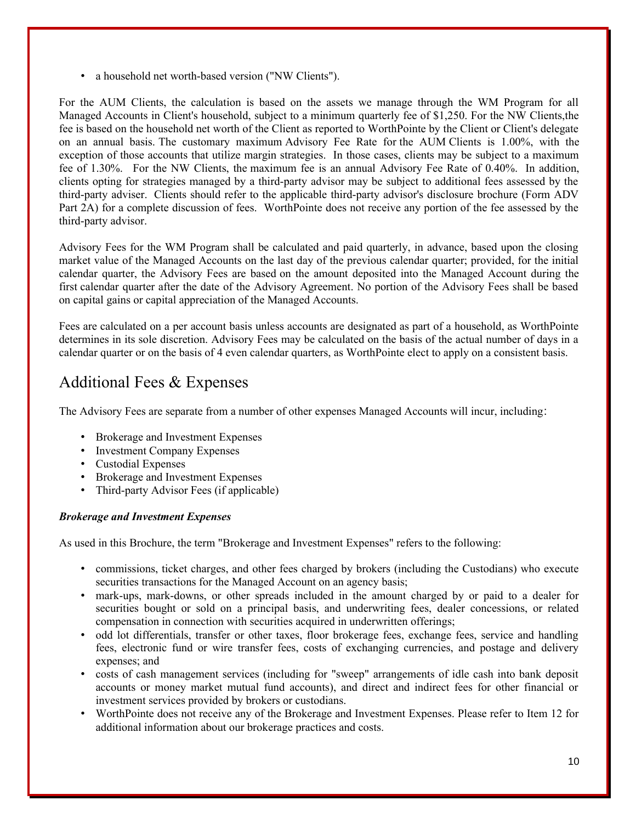• a household net worth-based version ("NW Clients").

For the AUM Clients, the calculation is based on the assets we manage through the WM Program for all Managed Accounts in Client's household, subject to a minimum quarterly fee of \$1,250. For the NW Clients,the fee is based on the household net worth of the Client as reported to WorthPointe by the Client or Client's delegate on an annual basis. The customary maximum Advisory Fee Rate for the AUM Clients is 1.00%, with the exception of those accounts that utilize margin strategies. In those cases, clients may be subject to a maximum fee of 1.30%. For the NW Clients, the maximum fee is an annual Advisory Fee Rate of 0.40%. In addition, clients opting for strategies managed by a third-party advisor may be subject to additional fees assessed by the third-party adviser. Clients should refer to the applicable third-party advisor's disclosure brochure (Form ADV Part 2A) for a complete discussion of fees. WorthPointe does not receive any portion of the fee assessed by the third-party advisor.

Advisory Fees for the WM Program shall be calculated and paid quarterly, in advance, based upon the closing market value of the Managed Accounts on the last day of the previous calendar quarter; provided, for the initial calendar quarter, the Advisory Fees are based on the amount deposited into the Managed Account during the first calendar quarter after the date of the Advisory Agreement. No portion of the Advisory Fees shall be based on capital gains or capital appreciation of the Managed Accounts.

Fees are calculated on a per account basis unless accounts are designated as part of a household, as WorthPointe determines in its sole discretion. Advisory Fees may be calculated on the basis of the actual number of days in a calendar quarter or on the basis of 4 even calendar quarters, as WorthPointe elect to apply on a consistent basis.

# Additional Fees & Expenses

The Advisory Fees are separate from a number of other expenses Managed Accounts will incur, including:

- Brokerage and Investment Expenses
- Investment Company Expenses
- Custodial Expenses
- Brokerage and Investment Expenses
- Third-party Advisor Fees (if applicable)

### *Brokerage and Investment Expenses*

As used in this Brochure, the term "Brokerage and Investment Expenses" refers to the following:

- commissions, ticket charges, and other fees charged by brokers (including the Custodians) who execute securities transactions for the Managed Account on an agency basis;
- mark-ups, mark-downs, or other spreads included in the amount charged by or paid to a dealer for securities bought or sold on a principal basis, and underwriting fees, dealer concessions, or related compensation in connection with securities acquired in underwritten offerings;
- odd lot differentials, transfer or other taxes, floor brokerage fees, exchange fees, service and handling fees, electronic fund or wire transfer fees, costs of exchanging currencies, and postage and delivery expenses; and
- costs of cash management services (including for "sweep" arrangements of idle cash into bank deposit accounts or money market mutual fund accounts), and direct and indirect fees for other financial or investment services provided by brokers or custodians.
- WorthPointe does not receive any of the Brokerage and Investment Expenses. Please refer to Item 12 for additional information about our brokerage practices and costs.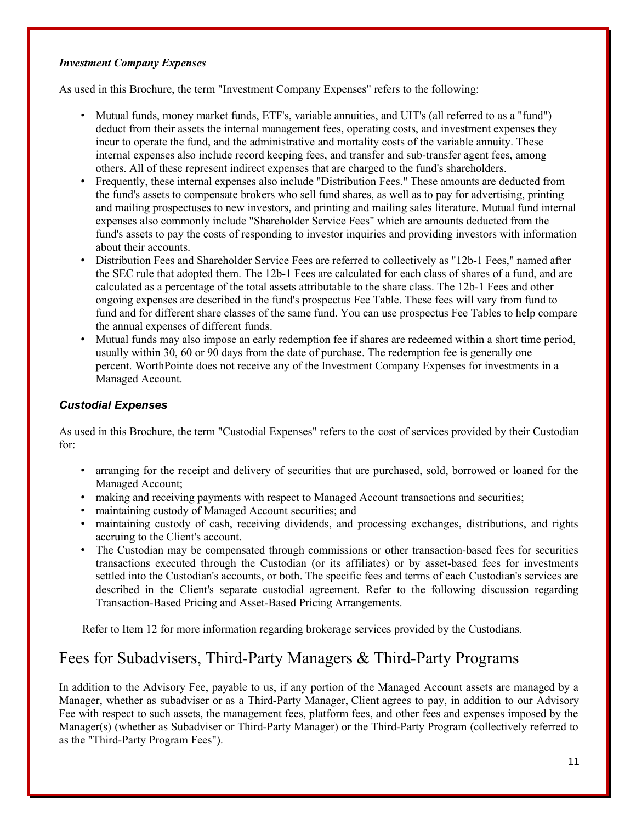### *Investment Company Expenses*

As used in this Brochure, the term "Investment Company Expenses" refers to the following:

- Mutual funds, money market funds, ETF's, variable annuities, and UIT's (all referred to as a "fund") deduct from their assets the internal management fees, operating costs, and investment expenses they incur to operate the fund, and the administrative and mortality costs of the variable annuity. These internal expenses also include record keeping fees, and transfer and sub-transfer agent fees, among others. All of these represent indirect expenses that are charged to the fund's shareholders.
- Frequently, these internal expenses also include "Distribution Fees." These amounts are deducted from the fund's assets to compensate brokers who sell fund shares, as well as to pay for advertising, printing and mailing prospectuses to new investors, and printing and mailing sales literature. Mutual fund internal expenses also commonly include "Shareholder Service Fees" which are amounts deducted from the fund's assets to pay the costs of responding to investor inquiries and providing investors with information about their accounts.
- Distribution Fees and Shareholder Service Fees are referred to collectively as "12b-1 Fees," named after the SEC rule that adopted them. The 12b-1 Fees are calculated for each class of shares of a fund, and are calculated as a percentage of the total assets attributable to the share class. The 12b-1 Fees and other ongoing expenses are described in the fund's prospectus Fee Table. These fees will vary from fund to fund and for different share classes of the same fund. You can use prospectus Fee Tables to help compare the annual expenses of different funds.
- Mutual funds may also impose an early redemption fee if shares are redeemed within a short time period, usually within 30, 60 or 90 days from the date of purchase. The redemption fee is generally one percent. WorthPointe does not receive any of the Investment Company Expenses for investments in a Managed Account.

### *Custodial Expenses*

As used in this Brochure, the term "Custodial Expenses" refers to the cost of services provided by their Custodian for:

- arranging for the receipt and delivery of securities that are purchased, sold, borrowed or loaned for the Managed Account;
- making and receiving payments with respect to Managed Account transactions and securities;
- maintaining custody of Managed Account securities; and
- maintaining custody of cash, receiving dividends, and processing exchanges, distributions, and rights accruing to the Client's account.
- The Custodian may be compensated through commissions or other transaction-based fees for securities transactions executed through the Custodian (or its affiliates) or by asset-based fees for investments settled into the Custodian's accounts, or both. The specific fees and terms of each Custodian's services are described in the Client's separate custodial agreement. Refer to the following discussion regarding Transaction-Based Pricing and Asset-Based Pricing Arrangements.

Refer to Item 12 for more information regarding brokerage services provided by the Custodians.

# Fees for Subadvisers, Third-Party Managers & Third-Party Programs

In addition to the Advisory Fee, payable to us, if any portion of the Managed Account assets are managed by a Manager, whether as subadviser or as a Third-Party Manager, Client agrees to pay, in addition to our Advisory Fee with respect to such assets, the management fees, platform fees, and other fees and expenses imposed by the Manager(s) (whether as Subadviser or Third-Party Manager) or the Third-Party Program (collectively referred to as the "Third-Party Program Fees").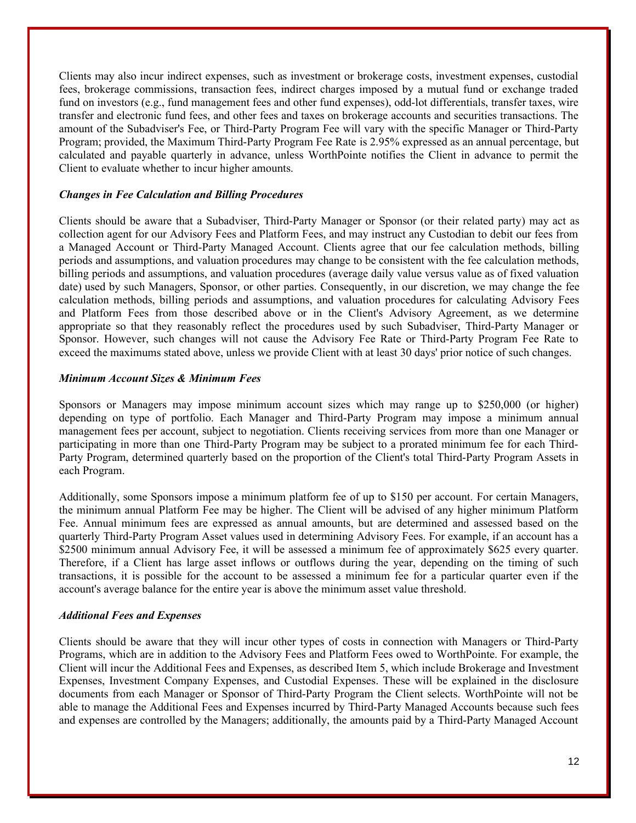Clients may also incur indirect expenses, such as investment or brokerage costs, investment expenses, custodial fees, brokerage commissions, transaction fees, indirect charges imposed by a mutual fund or exchange traded fund on investors (e.g., fund management fees and other fund expenses), odd-lot differentials, transfer taxes, wire transfer and electronic fund fees, and other fees and taxes on brokerage accounts and securities transactions. The amount of the Subadviser's Fee, or Third-Party Program Fee will vary with the specific Manager or Third-Party Program; provided, the Maximum Third-Party Program Fee Rate is 2.95% expressed as an annual percentage, but calculated and payable quarterly in advance, unless WorthPointe notifies the Client in advance to permit the Client to evaluate whether to incur higher amounts.

#### *Changes in Fee Calculation and Billing Procedures*

Clients should be aware that a Subadviser, Third-Party Manager or Sponsor (or their related party) may act as collection agent for our Advisory Fees and Platform Fees, and may instruct any Custodian to debit our fees from a Managed Account or Third-Party Managed Account. Clients agree that our fee calculation methods, billing periods and assumptions, and valuation procedures may change to be consistent with the fee calculation methods, billing periods and assumptions, and valuation procedures (average daily value versus value as of fixed valuation date) used by such Managers, Sponsor, or other parties. Consequently, in our discretion, we may change the fee calculation methods, billing periods and assumptions, and valuation procedures for calculating Advisory Fees and Platform Fees from those described above or in the Client's Advisory Agreement, as we determine appropriate so that they reasonably reflect the procedures used by such Subadviser, Third-Party Manager or Sponsor. However, such changes will not cause the Advisory Fee Rate or Third-Party Program Fee Rate to exceed the maximums stated above, unless we provide Client with at least 30 days' prior notice of such changes.

### *Minimum Account Sizes & Minimum Fees*

Sponsors or Managers may impose minimum account sizes which may range up to \$250,000 (or higher) depending on type of portfolio. Each Manager and Third-Party Program may impose a minimum annual management fees per account, subject to negotiation. Clients receiving services from more than one Manager or participating in more than one Third-Party Program may be subject to a prorated minimum fee for each Third-Party Program, determined quarterly based on the proportion of the Client's total Third-Party Program Assets in each Program.

Additionally, some Sponsors impose a minimum platform fee of up to \$150 per account. For certain Managers, the minimum annual Platform Fee may be higher. The Client will be advised of any higher minimum Platform Fee. Annual minimum fees are expressed as annual amounts, but are determined and assessed based on the quarterly Third-Party Program Asset values used in determining Advisory Fees. For example, if an account has a \$2500 minimum annual Advisory Fee, it will be assessed a minimum fee of approximately \$625 every quarter. Therefore, if a Client has large asset inflows or outflows during the year, depending on the timing of such transactions, it is possible for the account to be assessed a minimum fee for a particular quarter even if the account's average balance for the entire year is above the minimum asset value threshold.

### *Additional Fees and Expenses*

Clients should be aware that they will incur other types of costs in connection with Managers or Third-Party Programs, which are in addition to the Advisory Fees and Platform Fees owed to WorthPointe. For example, the Client will incur the Additional Fees and Expenses, as described Item 5, which include Brokerage and Investment Expenses, Investment Company Expenses, and Custodial Expenses. These will be explained in the disclosure documents from each Manager or Sponsor of Third-Party Program the Client selects. WorthPointe will not be able to manage the Additional Fees and Expenses incurred by Third-Party Managed Accounts because such fees and expenses are controlled by the Managers; additionally, the amounts paid by a Third-Party Managed Account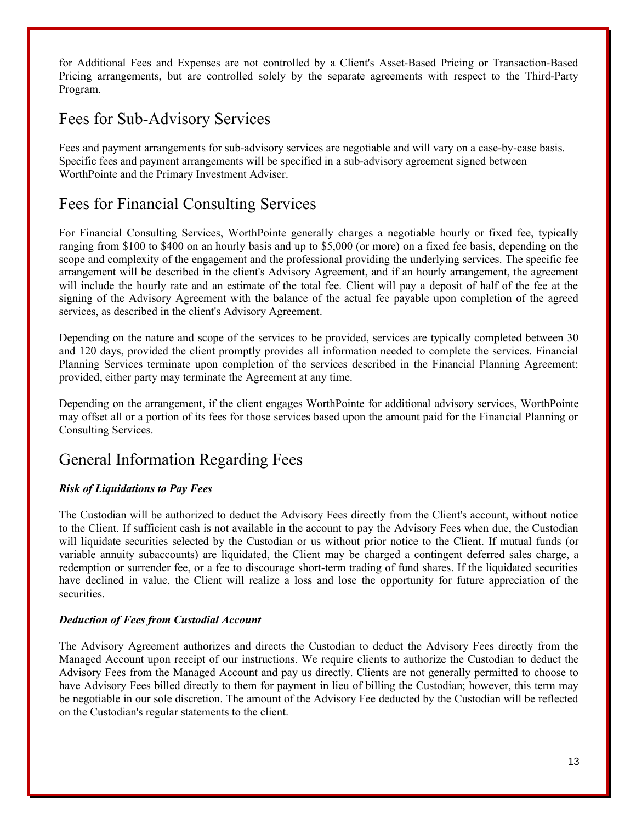for Additional Fees and Expenses are not controlled by a Client's Asset-Based Pricing or Transaction-Based Pricing arrangements, but are controlled solely by the separate agreements with respect to the Third-Party Program.

# Fees for Sub-Advisory Services

Fees and payment arrangements for sub-advisory services are negotiable and will vary on a case-by-case basis. Specific fees and payment arrangements will be specified in a sub-advisory agreement signed between WorthPointe and the Primary Investment Adviser.

# Fees for Financial Consulting Services

For Financial Consulting Services, WorthPointe generally charges a negotiable hourly or fixed fee, typically ranging from \$100 to \$400 on an hourly basis and up to \$5,000 (or more) on a fixed fee basis, depending on the scope and complexity of the engagement and the professional providing the underlying services. The specific fee arrangement will be described in the client's Advisory Agreement, and if an hourly arrangement, the agreement will include the hourly rate and an estimate of the total fee. Client will pay a deposit of half of the fee at the signing of the Advisory Agreement with the balance of the actual fee payable upon completion of the agreed services, as described in the client's Advisory Agreement.

Depending on the nature and scope of the services to be provided, services are typically completed between 30 and 120 days, provided the client promptly provides all information needed to complete the services. Financial Planning Services terminate upon completion of the services described in the Financial Planning Agreement; provided, either party may terminate the Agreement at any time.

Depending on the arrangement, if the client engages WorthPointe for additional advisory services, WorthPointe may offset all or a portion of its fees for those services based upon the amount paid for the Financial Planning or Consulting Services.

# General Information Regarding Fees

### *Risk of Liquidations to Pay Fees*

The Custodian will be authorized to deduct the Advisory Fees directly from the Client's account, without notice to the Client. If sufficient cash is not available in the account to pay the Advisory Fees when due, the Custodian will liquidate securities selected by the Custodian or us without prior notice to the Client. If mutual funds (or variable annuity subaccounts) are liquidated, the Client may be charged a contingent deferred sales charge, a redemption or surrender fee, or a fee to discourage short-term trading of fund shares. If the liquidated securities have declined in value, the Client will realize a loss and lose the opportunity for future appreciation of the securities.

### *Deduction of Fees from Custodial Account*

The Advisory Agreement authorizes and directs the Custodian to deduct the Advisory Fees directly from the Managed Account upon receipt of our instructions. We require clients to authorize the Custodian to deduct the Advisory Fees from the Managed Account and pay us directly. Clients are not generally permitted to choose to have Advisory Fees billed directly to them for payment in lieu of billing the Custodian; however, this term may be negotiable in our sole discretion. The amount of the Advisory Fee deducted by the Custodian will be reflected on the Custodian's regular statements to the client.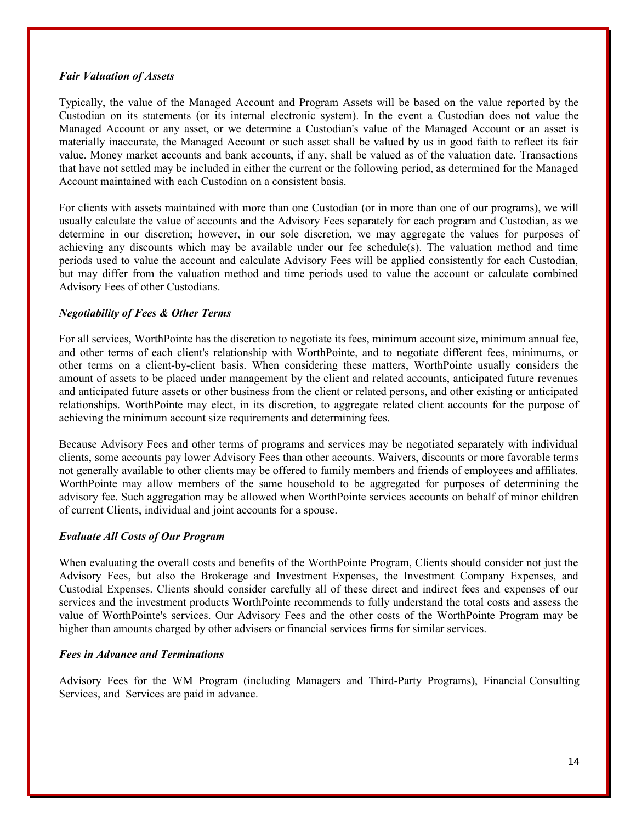#### *Fair Valuation of Assets*

Typically, the value of the Managed Account and Program Assets will be based on the value reported by the Custodian on its statements (or its internal electronic system). In the event a Custodian does not value the Managed Account or any asset, or we determine a Custodian's value of the Managed Account or an asset is materially inaccurate, the Managed Account or such asset shall be valued by us in good faith to reflect its fair value. Money market accounts and bank accounts, if any, shall be valued as of the valuation date. Transactions that have not settled may be included in either the current or the following period, as determined for the Managed Account maintained with each Custodian on a consistent basis.

For clients with assets maintained with more than one Custodian (or in more than one of our programs), we will usually calculate the value of accounts and the Advisory Fees separately for each program and Custodian, as we determine in our discretion; however, in our sole discretion, we may aggregate the values for purposes of achieving any discounts which may be available under our fee schedule(s). The valuation method and time periods used to value the account and calculate Advisory Fees will be applied consistently for each Custodian, but may differ from the valuation method and time periods used to value the account or calculate combined Advisory Fees of other Custodians.

### *Negotiability of Fees & Other Terms*

For all services, WorthPointe has the discretion to negotiate its fees, minimum account size, minimum annual fee, and other terms of each client's relationship with WorthPointe, and to negotiate different fees, minimums, or other terms on a client-by-client basis. When considering these matters, WorthPointe usually considers the amount of assets to be placed under management by the client and related accounts, anticipated future revenues and anticipated future assets or other business from the client or related persons, and other existing or anticipated relationships. WorthPointe may elect, in its discretion, to aggregate related client accounts for the purpose of achieving the minimum account size requirements and determining fees.

Because Advisory Fees and other terms of programs and services may be negotiated separately with individual clients, some accounts pay lower Advisory Fees than other accounts. Waivers, discounts or more favorable terms not generally available to other clients may be offered to family members and friends of employees and affiliates. WorthPointe may allow members of the same household to be aggregated for purposes of determining the advisory fee. Such aggregation may be allowed when WorthPointe services accounts on behalf of minor children of current Clients, individual and joint accounts for a spouse.

### *Evaluate All Costs of Our Program*

When evaluating the overall costs and benefits of the WorthPointe Program, Clients should consider not just the Advisory Fees, but also the Brokerage and Investment Expenses, the Investment Company Expenses, and Custodial Expenses. Clients should consider carefully all of these direct and indirect fees and expenses of our services and the investment products WorthPointe recommends to fully understand the total costs and assess the value of WorthPointe's services. Our Advisory Fees and the other costs of the WorthPointe Program may be higher than amounts charged by other advisers or financial services firms for similar services.

#### *Fees in Advance and Terminations*

Advisory Fees for the WM Program (including Managers and Third-Party Programs), Financial Consulting Services, and Services are paid in advance.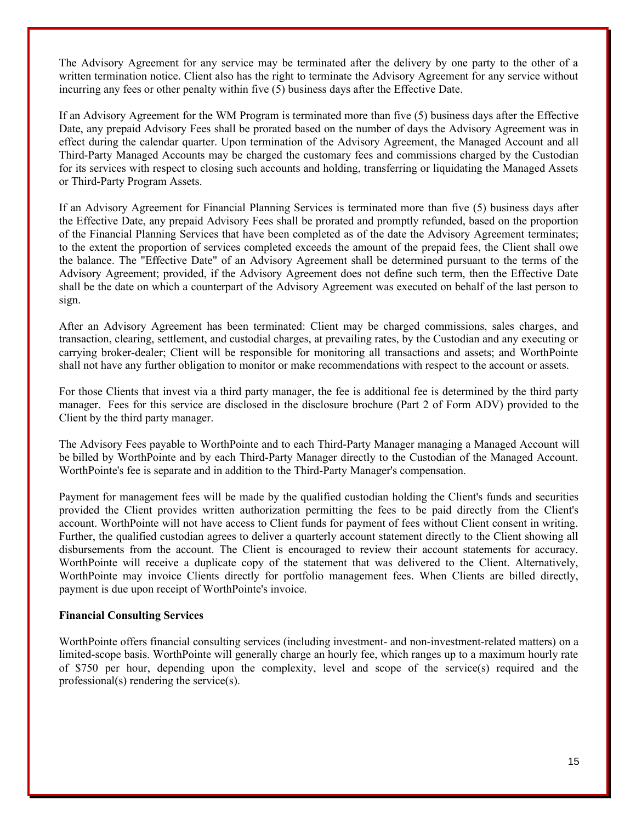The Advisory Agreement for any service may be terminated after the delivery by one party to the other of a written termination notice. Client also has the right to terminate the Advisory Agreement for any service without incurring any fees or other penalty within five (5) business days after the Effective Date.

If an Advisory Agreement for the WM Program is terminated more than five (5) business days after the Effective Date, any prepaid Advisory Fees shall be prorated based on the number of days the Advisory Agreement was in effect during the calendar quarter. Upon termination of the Advisory Agreement, the Managed Account and all Third-Party Managed Accounts may be charged the customary fees and commissions charged by the Custodian for its services with respect to closing such accounts and holding, transferring or liquidating the Managed Assets or Third-Party Program Assets.

If an Advisory Agreement for Financial Planning Services is terminated more than five (5) business days after the Effective Date, any prepaid Advisory Fees shall be prorated and promptly refunded, based on the proportion of the Financial Planning Services that have been completed as of the date the Advisory Agreement terminates; to the extent the proportion of services completed exceeds the amount of the prepaid fees, the Client shall owe the balance. The "Effective Date" of an Advisory Agreement shall be determined pursuant to the terms of the Advisory Agreement; provided, if the Advisory Agreement does not define such term, then the Effective Date shall be the date on which a counterpart of the Advisory Agreement was executed on behalf of the last person to sign.

After an Advisory Agreement has been terminated: Client may be charged commissions, sales charges, and transaction, clearing, settlement, and custodial charges, at prevailing rates, by the Custodian and any executing or carrying broker-dealer; Client will be responsible for monitoring all transactions and assets; and WorthPointe shall not have any further obligation to monitor or make recommendations with respect to the account or assets.

For those Clients that invest via a third party manager, the fee is additional fee is determined by the third party manager. Fees for this service are disclosed in the disclosure brochure (Part 2 of Form ADV) provided to the Client by the third party manager.

The Advisory Fees payable to WorthPointe and to each Third-Party Manager managing a Managed Account will be billed by WorthPointe and by each Third-Party Manager directly to the Custodian of the Managed Account. WorthPointe's fee is separate and in addition to the Third-Party Manager's compensation.

Payment for management fees will be made by the qualified custodian holding the Client's funds and securities provided the Client provides written authorization permitting the fees to be paid directly from the Client's account. WorthPointe will not have access to Client funds for payment of fees without Client consent in writing. Further, the qualified custodian agrees to deliver a quarterly account statement directly to the Client showing all disbursements from the account. The Client is encouraged to review their account statements for accuracy. WorthPointe will receive a duplicate copy of the statement that was delivered to the Client. Alternatively, WorthPointe may invoice Clients directly for portfolio management fees. When Clients are billed directly, payment is due upon receipt of WorthPointe's invoice.

#### **Financial Consulting Services**

WorthPointe offers financial consulting services (including investment- and non-investment-related matters) on a limited-scope basis. WorthPointe will generally charge an hourly fee, which ranges up to a maximum hourly rate of \$750 per hour, depending upon the complexity, level and scope of the service(s) required and the professional(s) rendering the service(s).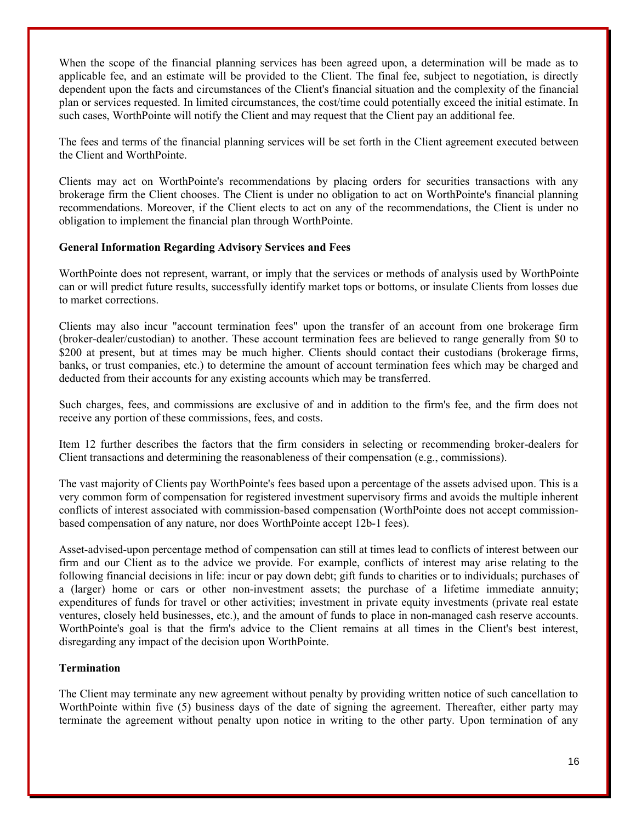When the scope of the financial planning services has been agreed upon, a determination will be made as to applicable fee, and an estimate will be provided to the Client. The final fee, subject to negotiation, is directly dependent upon the facts and circumstances of the Client's financial situation and the complexity of the financial plan or services requested. In limited circumstances, the cost/time could potentially exceed the initial estimate. In such cases, WorthPointe will notify the Client and may request that the Client pay an additional fee.

The fees and terms of the financial planning services will be set forth in the Client agreement executed between the Client and WorthPointe.

Clients may act on WorthPointe's recommendations by placing orders for securities transactions with any brokerage firm the Client chooses. The Client is under no obligation to act on WorthPointe's financial planning recommendations. Moreover, if the Client elects to act on any of the recommendations, the Client is under no obligation to implement the financial plan through WorthPointe.

### **General Information Regarding Advisory Services and Fees**

WorthPointe does not represent, warrant, or imply that the services or methods of analysis used by WorthPointe can or will predict future results, successfully identify market tops or bottoms, or insulate Clients from losses due to market corrections.

Clients may also incur "account termination fees" upon the transfer of an account from one brokerage firm (broker-dealer/custodian) to another. These account termination fees are believed to range generally from \$0 to \$200 at present, but at times may be much higher. Clients should contact their custodians (brokerage firms, banks, or trust companies, etc.) to determine the amount of account termination fees which may be charged and deducted from their accounts for any existing accounts which may be transferred.

Such charges, fees, and commissions are exclusive of and in addition to the firm's fee, and the firm does not receive any portion of these commissions, fees, and costs.

Item 12 further describes the factors that the firm considers in selecting or recommending broker-dealers for Client transactions and determining the reasonableness of their compensation (e.g., commissions).

The vast majority of Clients pay WorthPointe's fees based upon a percentage of the assets advised upon. This is a very common form of compensation for registered investment supervisory firms and avoids the multiple inherent conflicts of interest associated with commission-based compensation (WorthPointe does not accept commissionbased compensation of any nature, nor does WorthPointe accept 12b-1 fees).

Asset-advised-upon percentage method of compensation can still at times lead to conflicts of interest between our firm and our Client as to the advice we provide. For example, conflicts of interest may arise relating to the following financial decisions in life: incur or pay down debt; gift funds to charities or to individuals; purchases of a (larger) home or cars or other non-investment assets; the purchase of a lifetime immediate annuity; expenditures of funds for travel or other activities; investment in private equity investments (private real estate ventures, closely held businesses, etc.), and the amount of funds to place in non-managed cash reserve accounts. WorthPointe's goal is that the firm's advice to the Client remains at all times in the Client's best interest, disregarding any impact of the decision upon WorthPointe.

### **Termination**

The Client may terminate any new agreement without penalty by providing written notice of such cancellation to WorthPointe within five (5) business days of the date of signing the agreement. Thereafter, either party may terminate the agreement without penalty upon notice in writing to the other party. Upon termination of any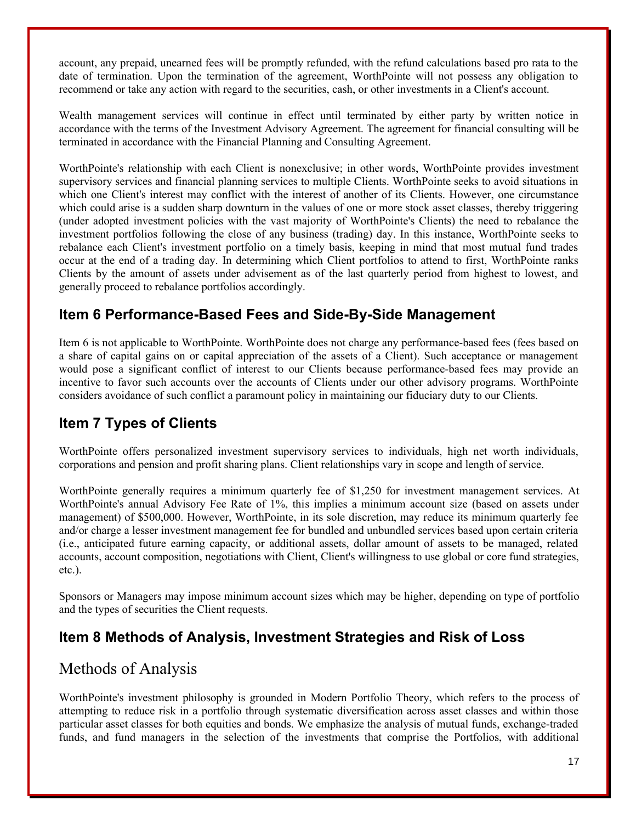account, any prepaid, unearned fees will be promptly refunded, with the refund calculations based pro rata to the date of termination. Upon the termination of the agreement, WorthPointe will not possess any obligation to recommend or take any action with regard to the securities, cash, or other investments in a Client's account.

Wealth management services will continue in effect until terminated by either party by written notice in accordance with the terms of the Investment Advisory Agreement. The agreement for financial consulting will be terminated in accordance with the Financial Planning and Consulting Agreement.

WorthPointe's relationship with each Client is nonexclusive; in other words, WorthPointe provides investment supervisory services and financial planning services to multiple Clients. WorthPointe seeks to avoid situations in which one Client's interest may conflict with the interest of another of its Clients. However, one circumstance which could arise is a sudden sharp downturn in the values of one or more stock asset classes, thereby triggering (under adopted investment policies with the vast majority of WorthPointe's Clients) the need to rebalance the investment portfolios following the close of any business (trading) day. In this instance, WorthPointe seeks to rebalance each Client's investment portfolio on a timely basis, keeping in mind that most mutual fund trades occur at the end of a trading day. In determining which Client portfolios to attend to first, WorthPointe ranks Clients by the amount of assets under advisement as of the last quarterly period from highest to lowest, and generally proceed to rebalance portfolios accordingly.

### **Item 6 Performance-Based Fees and Side-By-Side Management**

Item 6 is not applicable to WorthPointe. WorthPointe does not charge any performance-based fees (fees based on a share of capital gains on or capital appreciation of the assets of a Client). Such acceptance or management would pose a significant conflict of interest to our Clients because performance-based fees may provide an incentive to favor such accounts over the accounts of Clients under our other advisory programs. WorthPointe considers avoidance of such conflict a paramount policy in maintaining our fiduciary duty to our Clients.

# **Item 7 Types of Clients**

WorthPointe offers personalized investment supervisory services to individuals, high net worth individuals, corporations and pension and profit sharing plans. Client relationships vary in scope and length of service.

WorthPointe generally requires a minimum quarterly fee of \$1,250 for investment management services. At WorthPointe's annual Advisory Fee Rate of 1%, this implies a minimum account size (based on assets under management) of \$500,000. However, WorthPointe, in its sole discretion, may reduce its minimum quarterly fee and/or charge a lesser investment management fee for bundled and unbundled services based upon certain criteria (i.e., anticipated future earning capacity, or additional assets, dollar amount of assets to be managed, related accounts, account composition, negotiations with Client, Client's willingness to use global or core fund strategies, etc.).

Sponsors or Managers may impose minimum account sizes which may be higher, depending on type of portfolio and the types of securities the Client requests.

### **Item 8 Methods of Analysis, Investment Strategies and Risk of Loss**

# Methods of Analysis

WorthPointe's investment philosophy is grounded in Modern Portfolio Theory, which refers to the process of attempting to reduce risk in a portfolio through systematic diversification across asset classes and within those particular asset classes for both equities and bonds. We emphasize the analysis of mutual funds, exchange-traded funds, and fund managers in the selection of the investments that comprise the Portfolios, with additional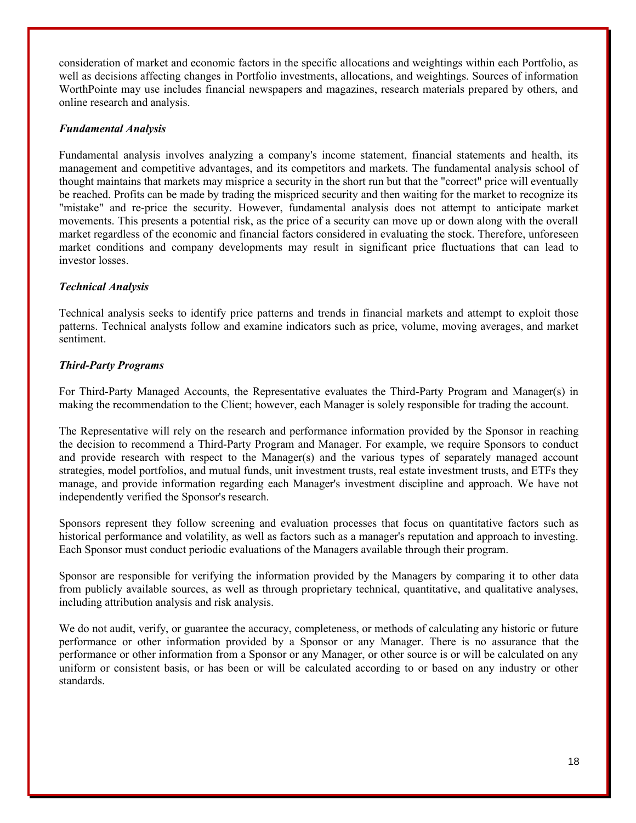consideration of market and economic factors in the specific allocations and weightings within each Portfolio, as well as decisions affecting changes in Portfolio investments, allocations, and weightings. Sources of information WorthPointe may use includes financial newspapers and magazines, research materials prepared by others, and online research and analysis.

### *Fundamental Analysis*

Fundamental analysis involves analyzing a company's income statement, financial statements and health, its management and competitive advantages, and its competitors and markets. The fundamental analysis school of thought maintains that markets may misprice a security in the short run but that the "correct" price will eventually be reached. Profits can be made by trading the mispriced security and then waiting for the market to recognize its "mistake" and re-price the security. However, fundamental analysis does not attempt to anticipate market movements. This presents a potential risk, as the price of a security can move up or down along with the overall market regardless of the economic and financial factors considered in evaluating the stock. Therefore, unforeseen market conditions and company developments may result in significant price fluctuations that can lead to investor losses.

### *Technical Analysis*

Technical analysis seeks to identify price patterns and trends in financial markets and attempt to exploit those patterns. Technical analysts follow and examine indicators such as price, volume, moving averages, and market sentiment.

### *Third-Party Programs*

For Third-Party Managed Accounts, the Representative evaluates the Third-Party Program and Manager(s) in making the recommendation to the Client; however, each Manager is solely responsible for trading the account.

The Representative will rely on the research and performance information provided by the Sponsor in reaching the decision to recommend a Third-Party Program and Manager. For example, we require Sponsors to conduct and provide research with respect to the Manager(s) and the various types of separately managed account strategies, model portfolios, and mutual funds, unit investment trusts, real estate investment trusts, and ETFs they manage, and provide information regarding each Manager's investment discipline and approach. We have not independently verified the Sponsor's research.

Sponsors represent they follow screening and evaluation processes that focus on quantitative factors such as historical performance and volatility, as well as factors such as a manager's reputation and approach to investing. Each Sponsor must conduct periodic evaluations of the Managers available through their program.

Sponsor are responsible for verifying the information provided by the Managers by comparing it to other data from publicly available sources, as well as through proprietary technical, quantitative, and qualitative analyses, including attribution analysis and risk analysis.

We do not audit, verify, or guarantee the accuracy, completeness, or methods of calculating any historic or future performance or other information provided by a Sponsor or any Manager. There is no assurance that the performance or other information from a Sponsor or any Manager, or other source is or will be calculated on any uniform or consistent basis, or has been or will be calculated according to or based on any industry or other standards.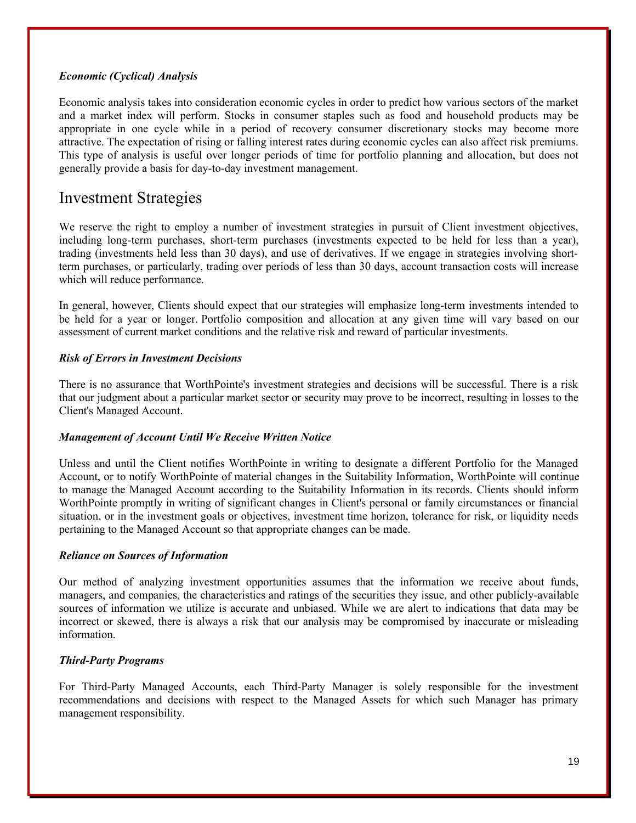### *Economic (Cyclical) Analysis*

Economic analysis takes into consideration economic cycles in order to predict how various sectors of the market and a market index will perform. Stocks in consumer staples such as food and household products may be appropriate in one cycle while in a period of recovery consumer discretionary stocks may become more attractive. The expectation of rising or falling interest rates during economic cycles can also affect risk premiums. This type of analysis is useful over longer periods of time for portfolio planning and allocation, but does not generally provide a basis for day-to-day investment management.

### Investment Strategies

We reserve the right to employ a number of investment strategies in pursuit of Client investment objectives, including long-term purchases, short-term purchases (investments expected to be held for less than a year), trading (investments held less than 30 days), and use of derivatives. If we engage in strategies involving shortterm purchases, or particularly, trading over periods of less than 30 days, account transaction costs will increase which will reduce performance.

In general, however, Clients should expect that our strategies will emphasize long-term investments intended to be held for a year or longer. Portfolio composition and allocation at any given time will vary based on our assessment of current market conditions and the relative risk and reward of particular investments.

### *Risk of Errors in Investment Decisions*

There is no assurance that WorthPointe's investment strategies and decisions will be successful. There is a risk that our judgment about a particular market sector or security may prove to be incorrect, resulting in losses to the Client's Managed Account.

### *Management of Account Until We Receive Written Notice*

Unless and until the Client notifies WorthPointe in writing to designate a different Portfolio for the Managed Account, or to notify WorthPointe of material changes in the Suitability Information, WorthPointe will continue to manage the Managed Account according to the Suitability Information in its records. Clients should inform WorthPointe promptly in writing of significant changes in Client's personal or family circumstances or financial situation, or in the investment goals or objectives, investment time horizon, tolerance for risk, or liquidity needs pertaining to the Managed Account so that appropriate changes can be made.

### *Reliance on Sources of Information*

Our method of analyzing investment opportunities assumes that the information we receive about funds, managers, and companies, the characteristics and ratings of the securities they issue, and other publicly-available sources of information we utilize is accurate and unbiased. While we are alert to indications that data may be incorrect or skewed, there is always a risk that our analysis may be compromised by inaccurate or misleading information.

### *Third-Party Programs*

For Third-Party Managed Accounts, each Third-Party Manager is solely responsible for the investment recommendations and decisions with respect to the Managed Assets for which such Manager has primary management responsibility.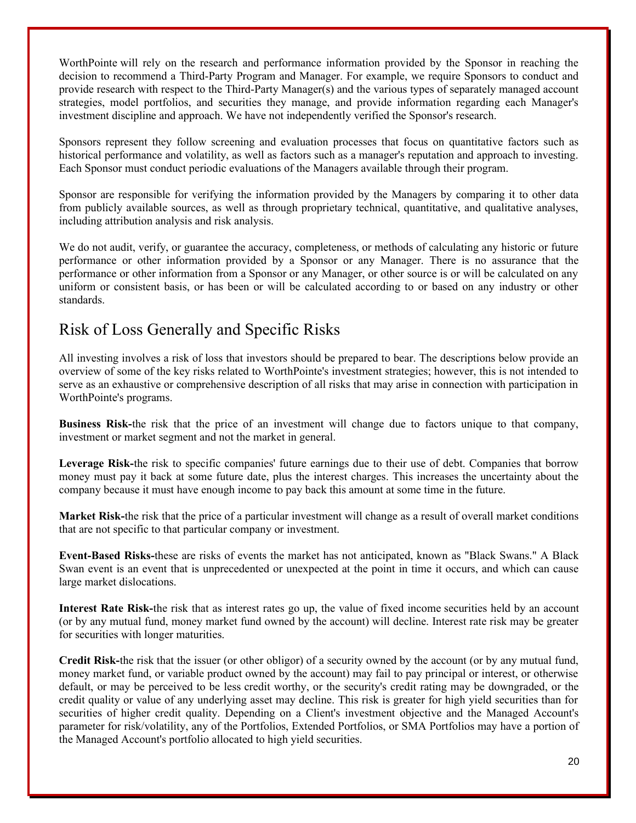WorthPointe will rely on the research and performance information provided by the Sponsor in reaching the decision to recommend a Third-Party Program and Manager. For example, we require Sponsors to conduct and provide research with respect to the Third-Party Manager(s) and the various types of separately managed account strategies, model portfolios, and securities they manage, and provide information regarding each Manager's investment discipline and approach. We have not independently verified the Sponsor's research.

Sponsors represent they follow screening and evaluation processes that focus on quantitative factors such as historical performance and volatility, as well as factors such as a manager's reputation and approach to investing. Each Sponsor must conduct periodic evaluations of the Managers available through their program.

Sponsor are responsible for verifying the information provided by the Managers by comparing it to other data from publicly available sources, as well as through proprietary technical, quantitative, and qualitative analyses, including attribution analysis and risk analysis.

We do not audit, verify, or guarantee the accuracy, completeness, or methods of calculating any historic or future performance or other information provided by a Sponsor or any Manager. There is no assurance that the performance or other information from a Sponsor or any Manager, or other source is or will be calculated on any uniform or consistent basis, or has been or will be calculated according to or based on any industry or other standards.

# Risk of Loss Generally and Specific Risks

All investing involves a risk of loss that investors should be prepared to bear. The descriptions below provide an overview of some of the key risks related to WorthPointe's investment strategies; however, this is not intended to serve as an exhaustive or comprehensive description of all risks that may arise in connection with participation in WorthPointe's programs.

**Business Risk-**the risk that the price of an investment will change due to factors unique to that company, investment or market segment and not the market in general.

**Leverage Risk-**the risk to specific companies' future earnings due to their use of debt. Companies that borrow money must pay it back at some future date, plus the interest charges. This increases the uncertainty about the company because it must have enough income to pay back this amount at some time in the future.

**Market Risk-**the risk that the price of a particular investment will change as a result of overall market conditions that are not specific to that particular company or investment.

**Event-Based Risks-**these are risks of events the market has not anticipated, known as "Black Swans." A Black Swan event is an event that is unprecedented or unexpected at the point in time it occurs, and which can cause large market dislocations.

**Interest Rate Risk-**the risk that as interest rates go up, the value of fixed income securities held by an account (or by any mutual fund, money market fund owned by the account) will decline. Interest rate risk may be greater for securities with longer maturities.

**Credit Risk-**the risk that the issuer (or other obligor) of a security owned by the account (or by any mutual fund, money market fund, or variable product owned by the account) may fail to pay principal or interest, or otherwise default, or may be perceived to be less credit worthy, or the security's credit rating may be downgraded, or the credit quality or value of any underlying asset may decline. This risk is greater for high yield securities than for securities of higher credit quality. Depending on a Client's investment objective and the Managed Account's parameter for risk/volatility, any of the Portfolios, Extended Portfolios, or SMA Portfolios may have a portion of the Managed Account's portfolio allocated to high yield securities.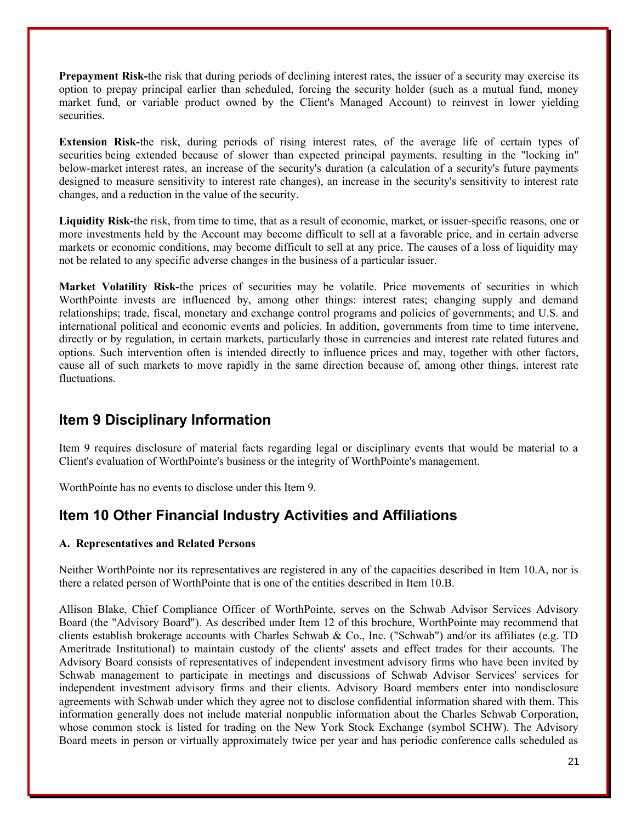**Prepayment Risk-**the risk that during periods of declining interest rates, the issuer of a security may exercise its option to prepay principal earlier than scheduled, forcing the security holder (such as a mutual fund, money market fund, or variable product owned by the Client's Managed Account) to reinvest in lower yielding securities.

**Extension Risk-**the risk, during periods of rising interest rates, of the average life of certain types of securities being extended because of slower than expected principal payments, resulting in the "locking in" below-market interest rates, an increase of the security's duration (a calculation of a security's future payments designed to measure sensitivity to interest rate changes), an increase in the security's sensitivity to interest rate changes, and a reduction in the value of the security.

**Liquidity Risk-**the risk, from time to time, that as a result of economic, market, or issuer-specific reasons, one or more investments held by the Account may become difficult to sell at a favorable price, and in certain adverse markets or economic conditions, may become difficult to sell at any price. The causes of a loss of liquidity may not be related to any specific adverse changes in the business of a particular issuer.

**Market Volatility Risk-**the prices of securities may be volatile. Price movements of securities in which WorthPointe invests are influenced by, among other things: interest rates; changing supply and demand relationships; trade, fiscal, monetary and exchange control programs and policies of governments; and U.S. and international political and economic events and policies. In addition, governments from time to time intervene, directly or by regulation, in certain markets, particularly those in currencies and interest rate related futures and options. Such intervention often is intended directly to influence prices and may, together with other factors, cause all of such markets to move rapidly in the same direction because of, among other things, interest rate fluctuations.

### **Item 9 Disciplinary Information**

Item 9 requires disclosure of material facts regarding legal or disciplinary events that would be material to a Client's evaluation of WorthPointe's business or the integrity of WorthPointe's management.

WorthPointe has no events to disclose under this Item 9.

### **Item 10 Other Financial Industry Activities and Affiliations**

### **A. Representatives and Related Persons**

Neither WorthPointe nor its representatives are registered in any of the capacities described in Item 10.A, nor is there a related person of WorthPointe that is one of the entities described in Item 10.B.

Allison Blake, Chief Compliance Officer of WorthPointe, serves on the Schwab Advisor Services Advisory Board (the "Advisory Board"). As described under Item 12 of this brochure, WorthPointe may recommend that clients establish brokerage accounts with Charles Schwab & Co., Inc. ("Schwab") and/or its affiliates (e.g. TD Ameritrade Institutional) to maintain custody of the clients' assets and effect trades for their accounts. The Advisory Board consists of representatives of independent investment advisory firms who have been invited by Schwab management to participate in meetings and discussions of Schwab Advisor Services' services for independent investment advisory firms and their clients. Advisory Board members enter into nondisclosure agreements with Schwab under which they agree not to disclose confidential information shared with them. This information generally does not include material nonpublic information about the Charles Schwab Corporation, whose common stock is listed for trading on the New York Stock Exchange (symbol SCHW). The Advisory Board meets in person or virtually approximately twice per year and has periodic conference calls scheduled as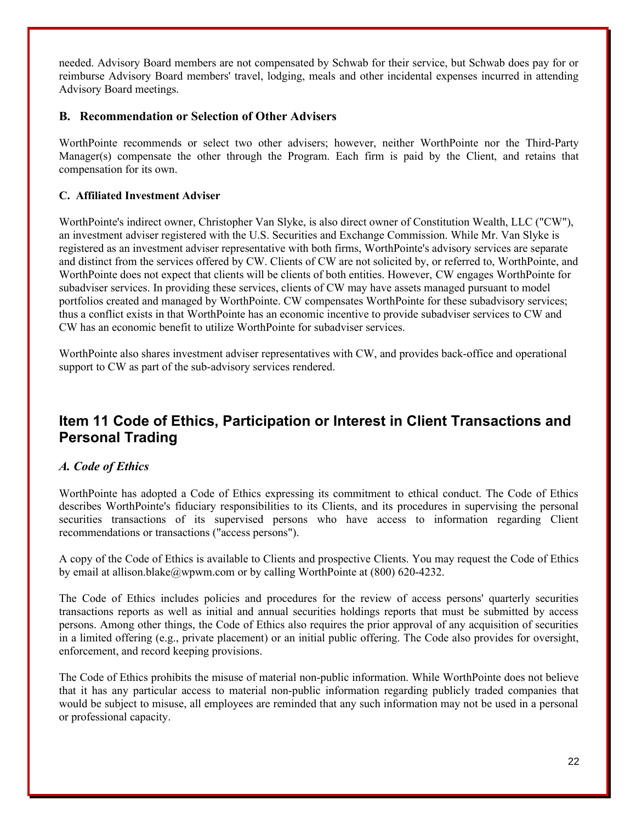needed. Advisory Board members are not compensated by Schwab for their service, but Schwab does pay for or reimburse Advisory Board members' travel, lodging, meals and other incidental expenses incurred in attending Advisory Board meetings.

### **B. Recommendation or Selection of Other Advisers**

WorthPointe recommends or select two other advisers; however, neither WorthPointe nor the Third-Party Manager(s) compensate the other through the Program. Each firm is paid by the Client, and retains that compensation for its own.

### **C. Affiliated Investment Adviser**

WorthPointe's indirect owner, Christopher Van Slyke, is also direct owner of Constitution Wealth, LLC ("CW"), an investment adviser registered with the U.S. Securities and Exchange Commission. While Mr. Van Slyke is registered as an investment adviser representative with both firms, WorthPointe's advisory services are separate and distinct from the services offered by CW. Clients of CW are not solicited by, or referred to, WorthPointe, and WorthPointe does not expect that clients will be clients of both entities. However, CW engages WorthPointe for subadviser services. In providing these services, clients of CW may have assets managed pursuant to model portfolios created and managed by WorthPointe. CW compensates WorthPointe for these subadvisory services; thus a conflict exists in that WorthPointe has an economic incentive to provide subadviser services to CW and CW has an economic benefit to utilize WorthPointe for subadviser services.

WorthPointe also shares investment adviser representatives with CW, and provides back-office and operational support to CW as part of the sub-advisory services rendered.

### **Item 11 Code of Ethics, Participation or Interest in Client Transactions and Personal Trading**

### *A. Code of Ethics*

WorthPointe has adopted a Code of Ethics expressing its commitment to ethical conduct. The Code of Ethics describes WorthPointe's fiduciary responsibilities to its Clients, and its procedures in supervising the personal securities transactions of its supervised persons who have access to information regarding Client recommendations or transactions ("access persons").

A copy of the Code of Ethics is available to Clients and prospective Clients. You may request the Code of Ethics by email at allison.blake@wpwm.com or by calling WorthPointe at (800) 620-4232.

The Code of Ethics includes policies and procedures for the review of access persons' quarterly securities transactions reports as well as initial and annual securities holdings reports that must be submitted by access persons. Among other things, the Code of Ethics also requires the prior approval of any acquisition of securities in a limited offering (e.g., private placement) or an initial public offering. The Code also provides for oversight, enforcement, and record keeping provisions.

The Code of Ethics prohibits the misuse of material non-public information. While WorthPointe does not believe that it has any particular access to material non-public information regarding publicly traded companies that would be subject to misuse, all employees are reminded that any such information may not be used in a personal or professional capacity.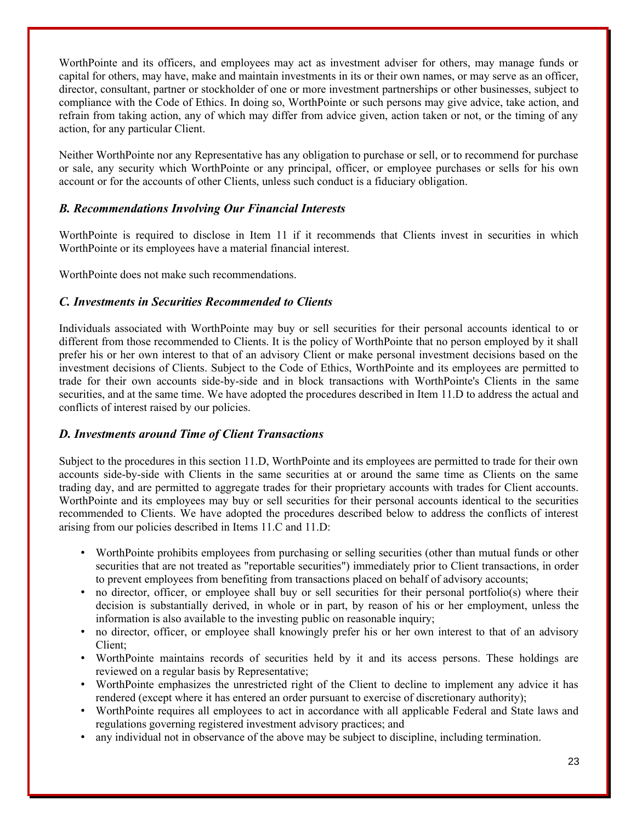WorthPointe and its officers, and employees may act as investment adviser for others, may manage funds or capital for others, may have, make and maintain investments in its or their own names, or may serve as an officer, director, consultant, partner or stockholder of one or more investment partnerships or other businesses, subject to compliance with the Code of Ethics. In doing so, WorthPointe or such persons may give advice, take action, and refrain from taking action, any of which may differ from advice given, action taken or not, or the timing of any action, for any particular Client.

Neither WorthPointe nor any Representative has any obligation to purchase or sell, or to recommend for purchase or sale, any security which WorthPointe or any principal, officer, or employee purchases or sells for his own account or for the accounts of other Clients, unless such conduct is a fiduciary obligation.

### *B. Recommendations Involving Our Financial Interests*

WorthPointe is required to disclose in Item 11 if it recommends that Clients invest in securities in which WorthPointe or its employees have a material financial interest.

WorthPointe does not make such recommendations.

### *C. Investments in Securities Recommended to Clients*

Individuals associated with WorthPointe may buy or sell securities for their personal accounts identical to or different from those recommended to Clients. It is the policy of WorthPointe that no person employed by it shall prefer his or her own interest to that of an advisory Client or make personal investment decisions based on the investment decisions of Clients. Subject to the Code of Ethics, WorthPointe and its employees are permitted to trade for their own accounts side-by-side and in block transactions with WorthPointe's Clients in the same securities, and at the same time. We have adopted the procedures described in Item 11.D to address the actual and conflicts of interest raised by our policies.

### *D. Investments around Time of Client Transactions*

Subject to the procedures in this section 11.D, WorthPointe and its employees are permitted to trade for their own accounts side-by-side with Clients in the same securities at or around the same time as Clients on the same trading day, and are permitted to aggregate trades for their proprietary accounts with trades for Client accounts. WorthPointe and its employees may buy or sell securities for their personal accounts identical to the securities recommended to Clients. We have adopted the procedures described below to address the conflicts of interest arising from our policies described in Items 11.C and 11.D:

- WorthPointe prohibits employees from purchasing or selling securities (other than mutual funds or other securities that are not treated as "reportable securities") immediately prior to Client transactions, in order to prevent employees from benefiting from transactions placed on behalf of advisory accounts;
- no director, officer, or employee shall buy or sell securities for their personal portfolio(s) where their decision is substantially derived, in whole or in part, by reason of his or her employment, unless the information is also available to the investing public on reasonable inquiry;
- no director, officer, or employee shall knowingly prefer his or her own interest to that of an advisory Client;
- WorthPointe maintains records of securities held by it and its access persons. These holdings are reviewed on a regular basis by Representative;
- WorthPointe emphasizes the unrestricted right of the Client to decline to implement any advice it has rendered (except where it has entered an order pursuant to exercise of discretionary authority);
- WorthPointe requires all employees to act in accordance with all applicable Federal and State laws and regulations governing registered investment advisory practices; and
- any individual not in observance of the above may be subject to discipline, including termination.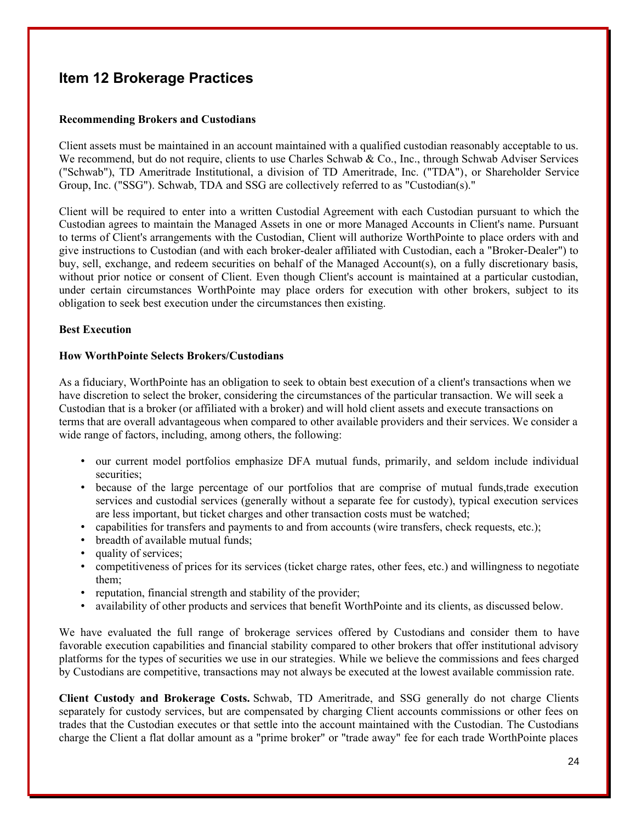### **Item 12 Brokerage Practices**

### **Recommending Brokers and Custodians**

Client assets must be maintained in an account maintained with a qualified custodian reasonably acceptable to us. We recommend, but do not require, clients to use Charles Schwab & Co., Inc., through Schwab Adviser Services ("Schwab"), TD Ameritrade Institutional, a division of TD Ameritrade, Inc. ("TDA"), or Shareholder Service Group, Inc. ("SSG"). Schwab, TDA and SSG are collectively referred to as "Custodian(s)."

Client will be required to enter into a written Custodial Agreement with each Custodian pursuant to which the Custodian agrees to maintain the Managed Assets in one or more Managed Accounts in Client's name. Pursuant to terms of Client's arrangements with the Custodian, Client will authorize WorthPointe to place orders with and give instructions to Custodian (and with each broker-dealer affiliated with Custodian, each a "Broker-Dealer") to buy, sell, exchange, and redeem securities on behalf of the Managed Account(s), on a fully discretionary basis, without prior notice or consent of Client. Even though Client's account is maintained at a particular custodian, under certain circumstances WorthPointe may place orders for execution with other brokers, subject to its obligation to seek best execution under the circumstances then existing.

### **Best Execution**

### **How WorthPointe Selects Brokers/Custodians**

As a fiduciary, WorthPointe has an obligation to seek to obtain best execution of a client's transactions when we have discretion to select the broker, considering the circumstances of the particular transaction. We will seek a Custodian that is a broker (or affiliated with a broker) and will hold client assets and execute transactions on terms that are overall advantageous when compared to other available providers and their services. We consider a wide range of factors, including, among others, the following:

- our current model portfolios emphasize DFA mutual funds, primarily, and seldom include individual securities;
- because of the large percentage of our portfolios that are comprise of mutual funds,trade execution services and custodial services (generally without a separate fee for custody), typical execution services are less important, but ticket charges and other transaction costs must be watched;
- capabilities for transfers and payments to and from accounts (wire transfers, check requests, etc.);
- breadth of available mutual funds:
- quality of services;
- competitiveness of prices for its services (ticket charge rates, other fees, etc.) and willingness to negotiate them;
- reputation, financial strength and stability of the provider;
- availability of other products and services that benefit WorthPointe and its clients, as discussed below.

We have evaluated the full range of brokerage services offered by Custodians and consider them to have favorable execution capabilities and financial stability compared to other brokers that offer institutional advisory platforms for the types of securities we use in our strategies. While we believe the commissions and fees charged by Custodians are competitive, transactions may not always be executed at the lowest available commission rate.

**Client Custody and Brokerage Costs.** Schwab, TD Ameritrade, and SSG generally do not charge Clients separately for custody services, but are compensated by charging Client accounts commissions or other fees on trades that the Custodian executes or that settle into the account maintained with the Custodian. The Custodians charge the Client a flat dollar amount as a "prime broker" or "trade away" fee for each trade WorthPointe places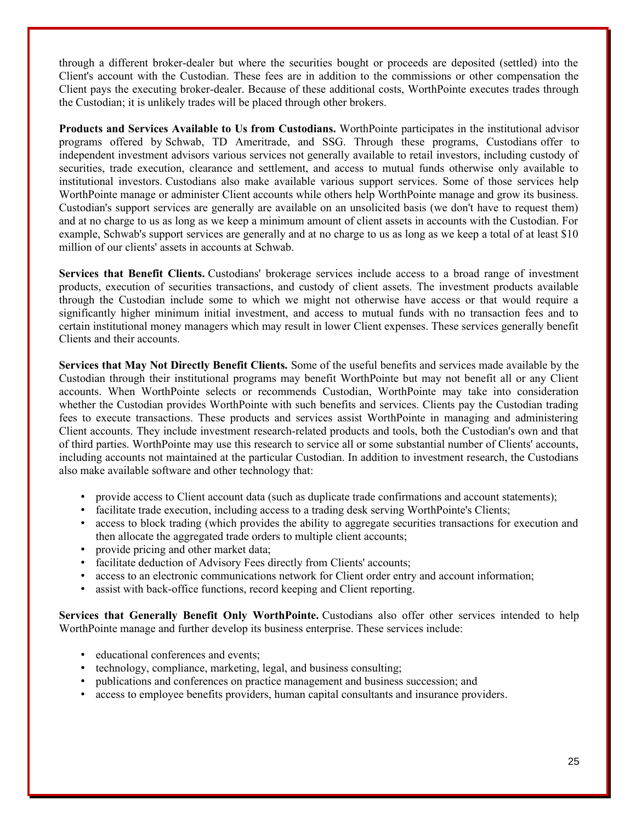through a different broker-dealer but where the securities bought or proceeds are deposited (settled) into the Client's account with the Custodian. These fees are in addition to the commissions or other compensation the Client pays the executing broker-dealer. Because of these additional costs, WorthPointe executes trades through the Custodian; it is unlikely trades will be placed through other brokers.

**Products and Services Available to Us from Custodians.** WorthPointe participates in the institutional advisor programs offered by Schwab, TD Ameritrade, and SSG. Through these programs, Custodians offer to independent investment advisors various services not generally available to retail investors, including custody of securities, trade execution, clearance and settlement, and access to mutual funds otherwise only available to institutional investors. Custodians also make available various support services. Some of those services help WorthPointe manage or administer Client accounts while others help WorthPointe manage and grow its business. Custodian's support services are generally are available on an unsolicited basis (we don't have to request them) and at no charge to us as long as we keep a minimum amount of client assets in accounts with the Custodian. For example, Schwab's support services are generally and at no charge to us as long as we keep a total of at least \$10 million of our clients' assets in accounts at Schwab.

**Services that Benefit Clients.** Custodians' brokerage services include access to a broad range of investment products, execution of securities transactions, and custody of client assets. The investment products available through the Custodian include some to which we might not otherwise have access or that would require a significantly higher minimum initial investment, and access to mutual funds with no transaction fees and to certain institutional money managers which may result in lower Client expenses. These services generally benefit Clients and their accounts.

**Services that May Not Directly Benefit Clients.** Some of the useful benefits and services made available by the Custodian through their institutional programs may benefit WorthPointe but may not benefit all or any Client accounts. When WorthPointe selects or recommends Custodian, WorthPointe may take into consideration whether the Custodian provides WorthPointe with such benefits and services. Clients pay the Custodian trading fees to execute transactions. These products and services assist WorthPointe in managing and administering Client accounts. They include investment research-related products and tools, both the Custodian's own and that of third parties. WorthPointe may use this research to service all or some substantial number of Clients' accounts, including accounts not maintained at the particular Custodian. In addition to investment research, the Custodians also make available software and other technology that:

- provide access to Client account data (such as duplicate trade confirmations and account statements);
- facilitate trade execution, including access to a trading desk serving WorthPointe's Clients;
- access to block trading (which provides the ability to aggregate securities transactions for execution and then allocate the aggregated trade orders to multiple client accounts;
- provide pricing and other market data;
- facilitate deduction of Advisory Fees directly from Clients' accounts;
- access to an electronic communications network for Client order entry and account information;
- assist with back-office functions, record keeping and Client reporting.

**Services that Generally Benefit Only WorthPointe.** Custodians also offer other services intended to help WorthPointe manage and further develop its business enterprise. These services include:

- educational conferences and events;
- technology, compliance, marketing, legal, and business consulting;
- publications and conferences on practice management and business succession; and
- access to employee benefits providers, human capital consultants and insurance providers.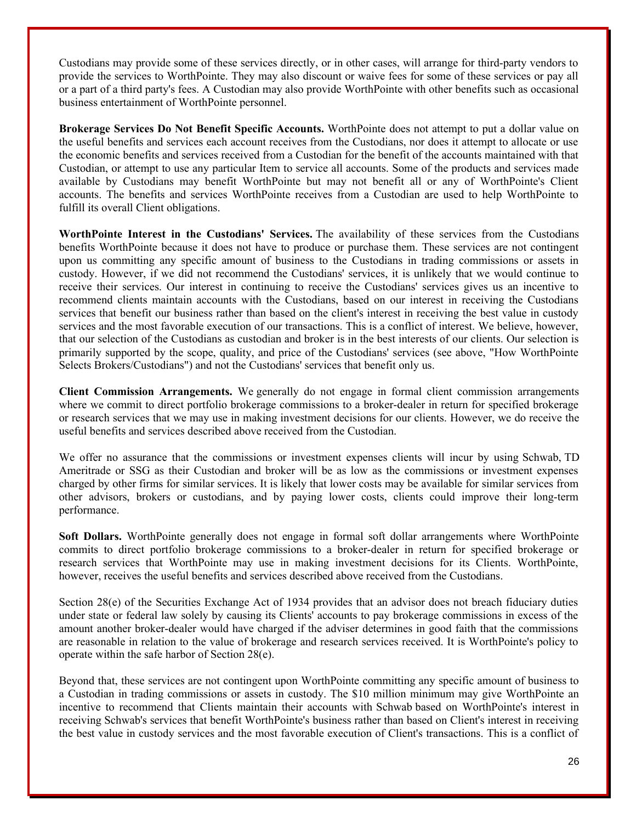Custodians may provide some of these services directly, or in other cases, will arrange for third-party vendors to provide the services to WorthPointe. They may also discount or waive fees for some of these services or pay all or a part of a third party's fees. A Custodian may also provide WorthPointe with other benefits such as occasional business entertainment of WorthPointe personnel.

**Brokerage Services Do Not Benefit Specific Accounts.** WorthPointe does not attempt to put a dollar value on the useful benefits and services each account receives from the Custodians, nor does it attempt to allocate or use the economic benefits and services received from a Custodian for the benefit of the accounts maintained with that Custodian, or attempt to use any particular Item to service all accounts. Some of the products and services made available by Custodians may benefit WorthPointe but may not benefit all or any of WorthPointe's Client accounts. The benefits and services WorthPointe receives from a Custodian are used to help WorthPointe to fulfill its overall Client obligations.

**WorthPointe Interest in the Custodians' Services.** The availability of these services from the Custodians benefits WorthPointe because it does not have to produce or purchase them. These services are not contingent upon us committing any specific amount of business to the Custodians in trading commissions or assets in custody. However, if we did not recommend the Custodians' services, it is unlikely that we would continue to receive their services. Our interest in continuing to receive the Custodians' services gives us an incentive to recommend clients maintain accounts with the Custodians, based on our interest in receiving the Custodians services that benefit our business rather than based on the client's interest in receiving the best value in custody services and the most favorable execution of our transactions. This is a conflict of interest. We believe, however, that our selection of the Custodians as custodian and broker is in the best interests of our clients. Our selection is primarily supported by the scope, quality, and price of the Custodians' services (see above, "How WorthPointe Selects Brokers/Custodians") and not the Custodians' services that benefit only us.

**Client Commission Arrangements.** We generally do not engage in formal client commission arrangements where we commit to direct portfolio brokerage commissions to a broker-dealer in return for specified brokerage or research services that we may use in making investment decisions for our clients. However, we do receive the useful benefits and services described above received from the Custodian.

We offer no assurance that the commissions or investment expenses clients will incur by using Schwab, TD Ameritrade or SSG as their Custodian and broker will be as low as the commissions or investment expenses charged by other firms for similar services. It is likely that lower costs may be available for similar services from other advisors, brokers or custodians, and by paying lower costs, clients could improve their long-term performance.

**Soft Dollars.** WorthPointe generally does not engage in formal soft dollar arrangements where WorthPointe commits to direct portfolio brokerage commissions to a broker-dealer in return for specified brokerage or research services that WorthPointe may use in making investment decisions for its Clients. WorthPointe, however, receives the useful benefits and services described above received from the Custodians.

Section 28(e) of the Securities Exchange Act of 1934 provides that an advisor does not breach fiduciary duties under state or federal law solely by causing its Clients' accounts to pay brokerage commissions in excess of the amount another broker-dealer would have charged if the adviser determines in good faith that the commissions are reasonable in relation to the value of brokerage and research services received. It is WorthPointe's policy to operate within the safe harbor of Section 28(e).

Beyond that, these services are not contingent upon WorthPointe committing any specific amount of business to a Custodian in trading commissions or assets in custody. The \$10 million minimum may give WorthPointe an incentive to recommend that Clients maintain their accounts with Schwab based on WorthPointe's interest in receiving Schwab's services that benefit WorthPointe's business rather than based on Client's interest in receiving the best value in custody services and the most favorable execution of Client's transactions. This is a conflict of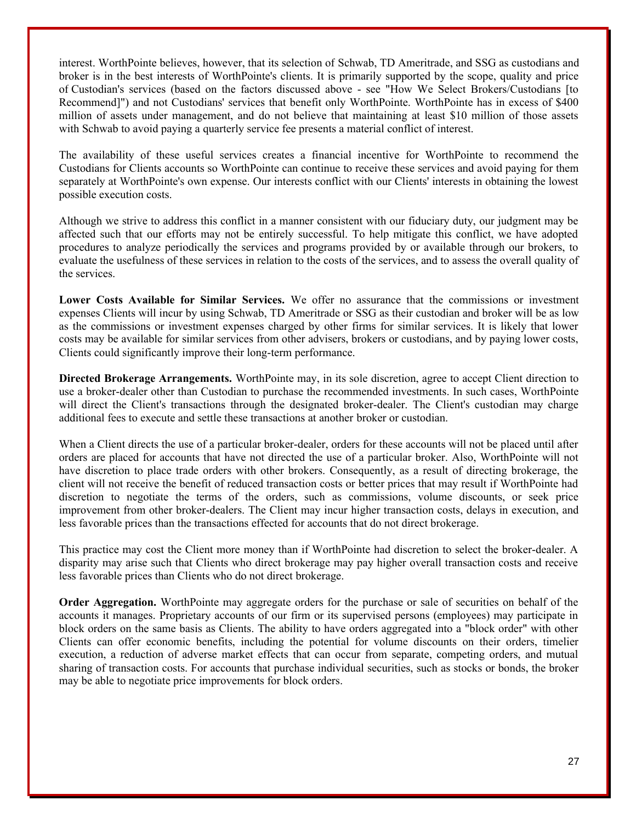interest. WorthPointe believes, however, that its selection of Schwab, TD Ameritrade, and SSG as custodians and broker is in the best interests of WorthPointe's clients. It is primarily supported by the scope, quality and price of Custodian's services (based on the factors discussed above - see "How We Select Brokers/Custodians [to Recommend]") and not Custodians' services that benefit only WorthPointe. WorthPointe has in excess of \$400 million of assets under management, and do not believe that maintaining at least \$10 million of those assets with Schwab to avoid paying a quarterly service fee presents a material conflict of interest.

The availability of these useful services creates a financial incentive for WorthPointe to recommend the Custodians for Clients accounts so WorthPointe can continue to receive these services and avoid paying for them separately at WorthPointe's own expense. Our interests conflict with our Clients' interests in obtaining the lowest possible execution costs.

Although we strive to address this conflict in a manner consistent with our fiduciary duty, our judgment may be affected such that our efforts may not be entirely successful. To help mitigate this conflict, we have adopted procedures to analyze periodically the services and programs provided by or available through our brokers, to evaluate the usefulness of these services in relation to the costs of the services, and to assess the overall quality of the services.

**Lower Costs Available for Similar Services.** We offer no assurance that the commissions or investment expenses Clients will incur by using Schwab, TD Ameritrade or SSG as their custodian and broker will be as low as the commissions or investment expenses charged by other firms for similar services. It is likely that lower costs may be available for similar services from other advisers, brokers or custodians, and by paying lower costs, Clients could significantly improve their long-term performance.

**Directed Brokerage Arrangements.** WorthPointe may, in its sole discretion, agree to accept Client direction to use a broker-dealer other than Custodian to purchase the recommended investments. In such cases, WorthPointe will direct the Client's transactions through the designated broker-dealer. The Client's custodian may charge additional fees to execute and settle these transactions at another broker or custodian.

When a Client directs the use of a particular broker-dealer, orders for these accounts will not be placed until after orders are placed for accounts that have not directed the use of a particular broker. Also, WorthPointe will not have discretion to place trade orders with other brokers. Consequently, as a result of directing brokerage, the client will not receive the benefit of reduced transaction costs or better prices that may result if WorthPointe had discretion to negotiate the terms of the orders, such as commissions, volume discounts, or seek price improvement from other broker-dealers. The Client may incur higher transaction costs, delays in execution, and less favorable prices than the transactions effected for accounts that do not direct brokerage.

This practice may cost the Client more money than if WorthPointe had discretion to select the broker-dealer. A disparity may arise such that Clients who direct brokerage may pay higher overall transaction costs and receive less favorable prices than Clients who do not direct brokerage.

**Order Aggregation.** WorthPointe may aggregate orders for the purchase or sale of securities on behalf of the accounts it manages. Proprietary accounts of our firm or its supervised persons (employees) may participate in block orders on the same basis as Clients. The ability to have orders aggregated into a "block order" with other Clients can offer economic benefits, including the potential for volume discounts on their orders, timelier execution, a reduction of adverse market effects that can occur from separate, competing orders, and mutual sharing of transaction costs. For accounts that purchase individual securities, such as stocks or bonds, the broker may be able to negotiate price improvements for block orders.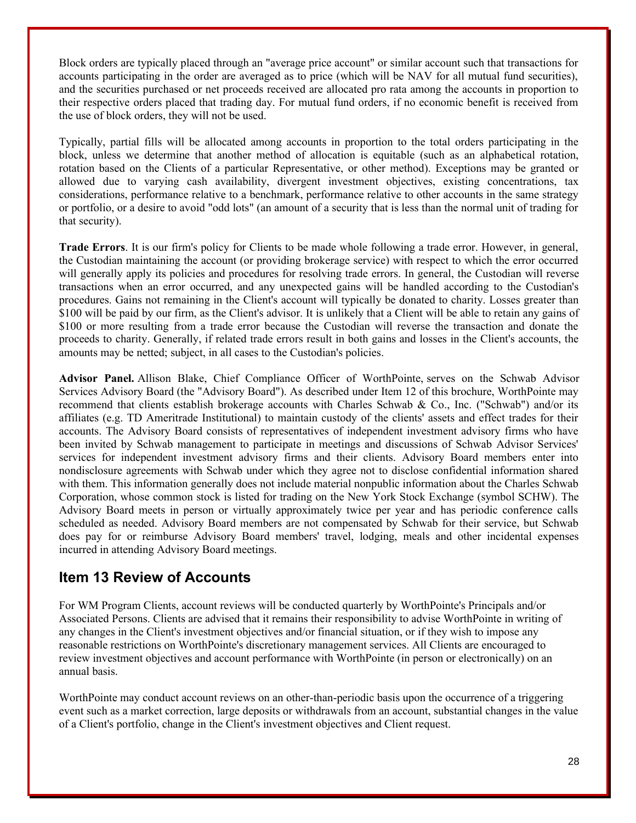Block orders are typically placed through an "average price account" or similar account such that transactions for accounts participating in the order are averaged as to price (which will be NAV for all mutual fund securities), and the securities purchased or net proceeds received are allocated pro rata among the accounts in proportion to their respective orders placed that trading day. For mutual fund orders, if no economic benefit is received from the use of block orders, they will not be used.

Typically, partial fills will be allocated among accounts in proportion to the total orders participating in the block, unless we determine that another method of allocation is equitable (such as an alphabetical rotation, rotation based on the Clients of a particular Representative, or other method). Exceptions may be granted or allowed due to varying cash availability, divergent investment objectives, existing concentrations, tax considerations, performance relative to a benchmark, performance relative to other accounts in the same strategy or portfolio, or a desire to avoid "odd lots" (an amount of a security that is less than the normal unit of trading for that security).

**Trade Errors**. It is our firm's policy for Clients to be made whole following a trade error. However, in general, the Custodian maintaining the account (or providing brokerage service) with respect to which the error occurred will generally apply its policies and procedures for resolving trade errors. In general, the Custodian will reverse transactions when an error occurred, and any unexpected gains will be handled according to the Custodian's procedures. Gains not remaining in the Client's account will typically be donated to charity. Losses greater than \$100 will be paid by our firm, as the Client's advisor. It is unlikely that a Client will be able to retain any gains of \$100 or more resulting from a trade error because the Custodian will reverse the transaction and donate the proceeds to charity. Generally, if related trade errors result in both gains and losses in the Client's accounts, the amounts may be netted; subject, in all cases to the Custodian's policies.

**Advisor Panel.** Allison Blake, Chief Compliance Officer of WorthPointe, serves on the Schwab Advisor Services Advisory Board (the "Advisory Board"). As described under Item 12 of this brochure, WorthPointe may recommend that clients establish brokerage accounts with Charles Schwab & Co., Inc. ("Schwab") and/or its affiliates (e.g. TD Ameritrade Institutional) to maintain custody of the clients' assets and effect trades for their accounts. The Advisory Board consists of representatives of independent investment advisory firms who have been invited by Schwab management to participate in meetings and discussions of Schwab Advisor Services' services for independent investment advisory firms and their clients. Advisory Board members enter into nondisclosure agreements with Schwab under which they agree not to disclose confidential information shared with them. This information generally does not include material nonpublic information about the Charles Schwab Corporation, whose common stock is listed for trading on the New York Stock Exchange (symbol SCHW). The Advisory Board meets in person or virtually approximately twice per year and has periodic conference calls scheduled as needed. Advisory Board members are not compensated by Schwab for their service, but Schwab does pay for or reimburse Advisory Board members' travel, lodging, meals and other incidental expenses incurred in attending Advisory Board meetings.

### **Item 13 Review of Accounts**

For WM Program Clients, account reviews will be conducted quarterly by WorthPointe's Principals and/or Associated Persons. Clients are advised that it remains their responsibility to advise WorthPointe in writing of any changes in the Client's investment objectives and/or financial situation, or if they wish to impose any reasonable restrictions on WorthPointe's discretionary management services. All Clients are encouraged to review investment objectives and account performance with WorthPointe (in person or electronically) on an annual basis.

WorthPointe may conduct account reviews on an other-than-periodic basis upon the occurrence of a triggering event such as a market correction, large deposits or withdrawals from an account, substantial changes in the value of a Client's portfolio, change in the Client's investment objectives and Client request.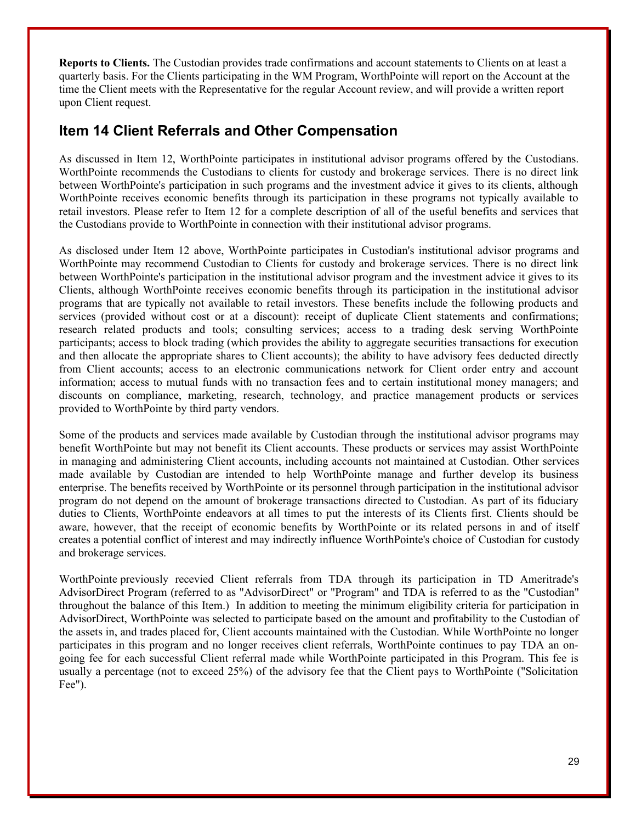**Reports to Clients.** The Custodian provides trade confirmations and account statements to Clients on at least a quarterly basis. For the Clients participating in the WM Program, WorthPointe will report on the Account at the time the Client meets with the Representative for the regular Account review, and will provide a written report upon Client request.

### **Item 14 Client Referrals and Other Compensation**

As discussed in Item 12, WorthPointe participates in institutional advisor programs offered by the Custodians. WorthPointe recommends the Custodians to clients for custody and brokerage services. There is no direct link between WorthPointe's participation in such programs and the investment advice it gives to its clients, although WorthPointe receives economic benefits through its participation in these programs not typically available to retail investors. Please refer to Item 12 for a complete description of all of the useful benefits and services that the Custodians provide to WorthPointe in connection with their institutional advisor programs.

As disclosed under Item 12 above, WorthPointe participates in Custodian's institutional advisor programs and WorthPointe may recommend Custodian to Clients for custody and brokerage services. There is no direct link between WorthPointe's participation in the institutional advisor program and the investment advice it gives to its Clients, although WorthPointe receives economic benefits through its participation in the institutional advisor programs that are typically not available to retail investors. These benefits include the following products and services (provided without cost or at a discount): receipt of duplicate Client statements and confirmations; research related products and tools; consulting services; access to a trading desk serving WorthPointe participants; access to block trading (which provides the ability to aggregate securities transactions for execution and then allocate the appropriate shares to Client accounts); the ability to have advisory fees deducted directly from Client accounts; access to an electronic communications network for Client order entry and account information; access to mutual funds with no transaction fees and to certain institutional money managers; and discounts on compliance, marketing, research, technology, and practice management products or services provided to WorthPointe by third party vendors.

Some of the products and services made available by Custodian through the institutional advisor programs may benefit WorthPointe but may not benefit its Client accounts. These products or services may assist WorthPointe in managing and administering Client accounts, including accounts not maintained at Custodian. Other services made available by Custodian are intended to help WorthPointe manage and further develop its business enterprise. The benefits received by WorthPointe or its personnel through participation in the institutional advisor program do not depend on the amount of brokerage transactions directed to Custodian. As part of its fiduciary duties to Clients, WorthPointe endeavors at all times to put the interests of its Clients first. Clients should be aware, however, that the receipt of economic benefits by WorthPointe or its related persons in and of itself creates a potential conflict of interest and may indirectly influence WorthPointe's choice of Custodian for custody and brokerage services.

WorthPointe previously recevied Client referrals from TDA through its participation in TD Ameritrade's AdvisorDirect Program (referred to as "AdvisorDirect" or "Program" and TDA is referred to as the "Custodian" throughout the balance of this Item.) In addition to meeting the minimum eligibility criteria for participation in AdvisorDirect, WorthPointe was selected to participate based on the amount and profitability to the Custodian of the assets in, and trades placed for, Client accounts maintained with the Custodian. While WorthPointe no longer participates in this program and no longer receives client referrals, WorthPointe continues to pay TDA an ongoing fee for each successful Client referral made while WorthPointe participated in this Program. This fee is usually a percentage (not to exceed 25%) of the advisory fee that the Client pays to WorthPointe ("Solicitation Fee").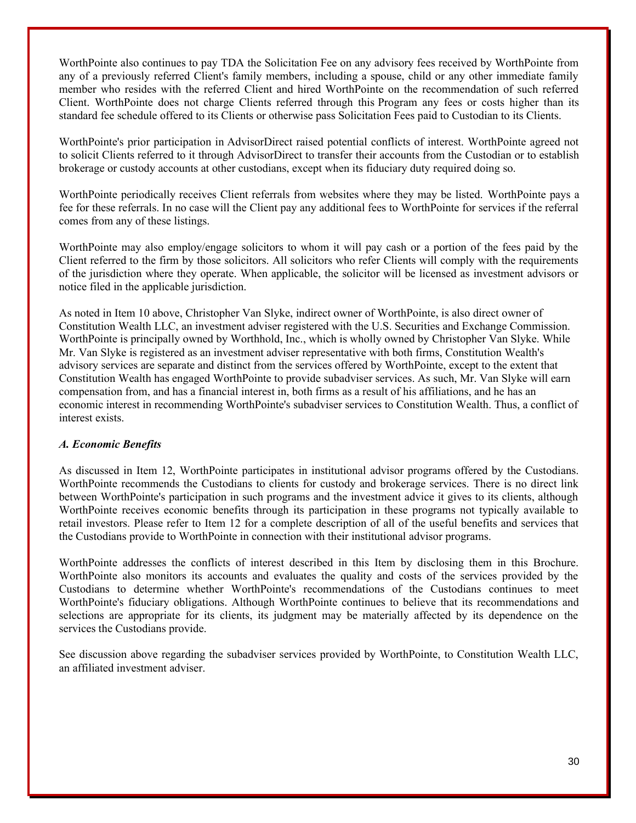WorthPointe also continues to pay TDA the Solicitation Fee on any advisory fees received by WorthPointe from any of a previously referred Client's family members, including a spouse, child or any other immediate family member who resides with the referred Client and hired WorthPointe on the recommendation of such referred Client. WorthPointe does not charge Clients referred through this Program any fees or costs higher than its standard fee schedule offered to its Clients or otherwise pass Solicitation Fees paid to Custodian to its Clients.

WorthPointe's prior participation in AdvisorDirect raised potential conflicts of interest. WorthPointe agreed not to solicit Clients referred to it through AdvisorDirect to transfer their accounts from the Custodian or to establish brokerage or custody accounts at other custodians, except when its fiduciary duty required doing so.

WorthPointe periodically receives Client referrals from websites where they may be listed. WorthPointe pays a fee for these referrals. In no case will the Client pay any additional fees to WorthPointe for services if the referral comes from any of these listings.

WorthPointe may also employ/engage solicitors to whom it will pay cash or a portion of the fees paid by the Client referred to the firm by those solicitors. All solicitors who refer Clients will comply with the requirements of the jurisdiction where they operate. When applicable, the solicitor will be licensed as investment advisors or notice filed in the applicable jurisdiction.

As noted in Item 10 above, Christopher Van Slyke, indirect owner of WorthPointe, is also direct owner of Constitution Wealth LLC, an investment adviser registered with the U.S. Securities and Exchange Commission. WorthPointe is principally owned by Worthhold, Inc., which is wholly owned by Christopher Van Slyke. While Mr. Van Slyke is registered as an investment adviser representative with both firms, Constitution Wealth's advisory services are separate and distinct from the services offered by WorthPointe, except to the extent that Constitution Wealth has engaged WorthPointe to provide subadviser services. As such, Mr. Van Slyke will earn compensation from, and has a financial interest in, both firms as a result of his affiliations, and he has an economic interest in recommending WorthPointe's subadviser services to Constitution Wealth. Thus, a conflict of interest exists.

### *A. Economic Benefits*

As discussed in Item 12, WorthPointe participates in institutional advisor programs offered by the Custodians. WorthPointe recommends the Custodians to clients for custody and brokerage services. There is no direct link between WorthPointe's participation in such programs and the investment advice it gives to its clients, although WorthPointe receives economic benefits through its participation in these programs not typically available to retail investors. Please refer to Item 12 for a complete description of all of the useful benefits and services that the Custodians provide to WorthPointe in connection with their institutional advisor programs.

WorthPointe addresses the conflicts of interest described in this Item by disclosing them in this Brochure. WorthPointe also monitors its accounts and evaluates the quality and costs of the services provided by the Custodians to determine whether WorthPointe's recommendations of the Custodians continues to meet WorthPointe's fiduciary obligations. Although WorthPointe continues to believe that its recommendations and selections are appropriate for its clients, its judgment may be materially affected by its dependence on the services the Custodians provide.

See discussion above regarding the subadviser services provided by WorthPointe, to Constitution Wealth LLC, an affiliated investment adviser.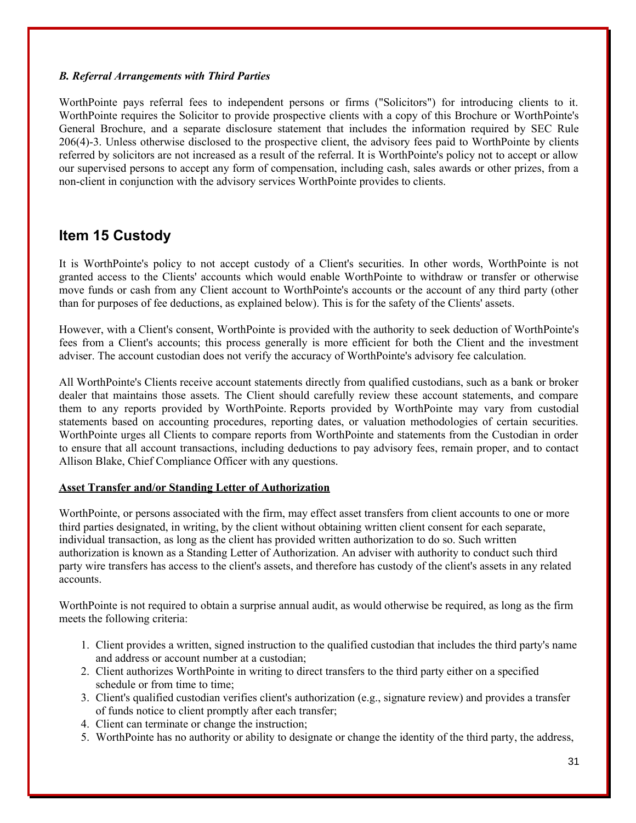### *B. Referral Arrangements with Third Parties*

WorthPointe pays referral fees to independent persons or firms ("Solicitors") for introducing clients to it. WorthPointe requires the Solicitor to provide prospective clients with a copy of this Brochure or WorthPointe's General Brochure, and a separate disclosure statement that includes the information required by SEC Rule 206(4)-3. Unless otherwise disclosed to the prospective client, the advisory fees paid to WorthPointe by clients referred by solicitors are not increased as a result of the referral. It is WorthPointe's policy not to accept or allow our supervised persons to accept any form of compensation, including cash, sales awards or other prizes, from a non-client in conjunction with the advisory services WorthPointe provides to clients.

### **Item 15 Custody**

It is WorthPointe's policy to not accept custody of a Client's securities. In other words, WorthPointe is not granted access to the Clients' accounts which would enable WorthPointe to withdraw or transfer or otherwise move funds or cash from any Client account to WorthPointe's accounts or the account of any third party (other than for purposes of fee deductions, as explained below). This is for the safety of the Clients' assets.

However, with a Client's consent, WorthPointe is provided with the authority to seek deduction of WorthPointe's fees from a Client's accounts; this process generally is more efficient for both the Client and the investment adviser. The account custodian does not verify the accuracy of WorthPointe's advisory fee calculation.

All WorthPointe's Clients receive account statements directly from qualified custodians, such as a bank or broker dealer that maintains those assets. The Client should carefully review these account statements, and compare them to any reports provided by WorthPointe. Reports provided by WorthPointe may vary from custodial statements based on accounting procedures, reporting dates, or valuation methodologies of certain securities. WorthPointe urges all Clients to compare reports from WorthPointe and statements from the Custodian in order to ensure that all account transactions, including deductions to pay advisory fees, remain proper, and to contact Allison Blake, Chief Compliance Officer with any questions.

### **Asset Transfer and/or Standing Letter of Authorization**

WorthPointe, or persons associated with the firm, may effect asset transfers from client accounts to one or more third parties designated, in writing, by the client without obtaining written client consent for each separate, individual transaction, as long as the client has provided written authorization to do so. Such written authorization is known as a Standing Letter of Authorization. An adviser with authority to conduct such third party wire transfers has access to the client's assets, and therefore has custody of the client's assets in any related accounts.

WorthPointe is not required to obtain a surprise annual audit, as would otherwise be required, as long as the firm meets the following criteria:

- 1. Client provides a written, signed instruction to the qualified custodian that includes the third party's name and address or account number at a custodian;
- 2. Client authorizes WorthPointe in writing to direct transfers to the third party either on a specified schedule or from time to time;
- 3. Client's qualified custodian verifies client's authorization (e.g., signature review) and provides a transfer of funds notice to client promptly after each transfer;
- 4. Client can terminate or change the instruction;
- 5. WorthPointe has no authority or ability to designate or change the identity of the third party, the address,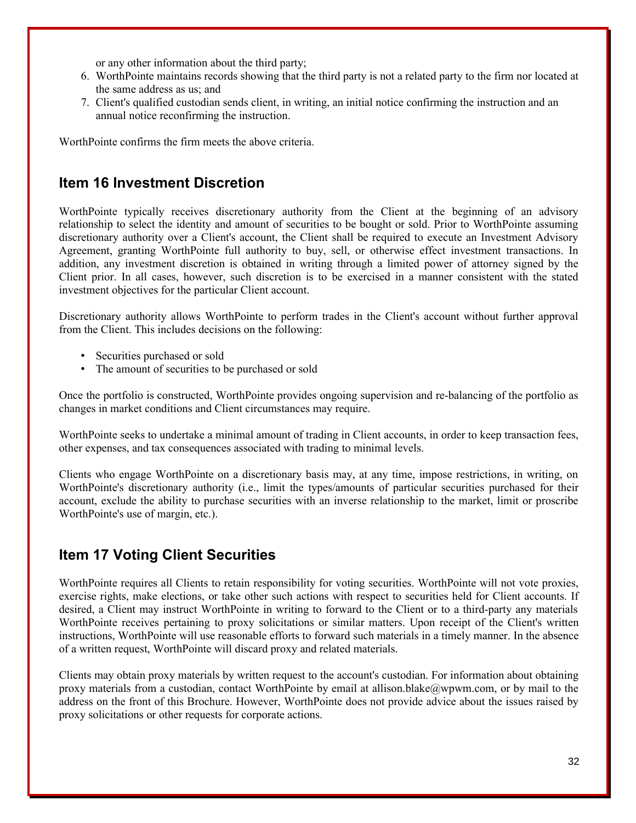or any other information about the third party;

- 6. WorthPointe maintains records showing that the third party is not a related party to the firm nor located at the same address as us; and
- 7. Client's qualified custodian sends client, in writing, an initial notice confirming the instruction and an annual notice reconfirming the instruction.

WorthPointe confirms the firm meets the above criteria.

### **Item 16 Investment Discretion**

WorthPointe typically receives discretionary authority from the Client at the beginning of an advisory relationship to select the identity and amount of securities to be bought or sold. Prior to WorthPointe assuming discretionary authority over a Client's account, the Client shall be required to execute an Investment Advisory Agreement, granting WorthPointe full authority to buy, sell, or otherwise effect investment transactions. In addition, any investment discretion is obtained in writing through a limited power of attorney signed by the Client prior. In all cases, however, such discretion is to be exercised in a manner consistent with the stated investment objectives for the particular Client account.

Discretionary authority allows WorthPointe to perform trades in the Client's account without further approval from the Client. This includes decisions on the following:

- Securities purchased or sold
- The amount of securities to be purchased or sold

Once the portfolio is constructed, WorthPointe provides ongoing supervision and re-balancing of the portfolio as changes in market conditions and Client circumstances may require.

WorthPointe seeks to undertake a minimal amount of trading in Client accounts, in order to keep transaction fees, other expenses, and tax consequences associated with trading to minimal levels.

Clients who engage WorthPointe on a discretionary basis may, at any time, impose restrictions, in writing, on WorthPointe's discretionary authority (i.e., limit the types/amounts of particular securities purchased for their account, exclude the ability to purchase securities with an inverse relationship to the market, limit or proscribe WorthPointe's use of margin, etc.).

### **Item 17 Voting Client Securities**

WorthPointe requires all Clients to retain responsibility for voting securities. WorthPointe will not vote proxies, exercise rights, make elections, or take other such actions with respect to securities held for Client accounts. If desired, a Client may instruct WorthPointe in writing to forward to the Client or to a third-party any materials WorthPointe receives pertaining to proxy solicitations or similar matters. Upon receipt of the Client's written instructions, WorthPointe will use reasonable efforts to forward such materials in a timely manner. In the absence of a written request, WorthPointe will discard proxy and related materials.

Clients may obtain proxy materials by written request to the account's custodian. For information about obtaining proxy materials from a custodian, contact WorthPointe by email at allison.blake@wpwm.com, or by mail to the address on the front of this Brochure. However, WorthPointe does not provide advice about the issues raised by proxy solicitations or other requests for corporate actions.